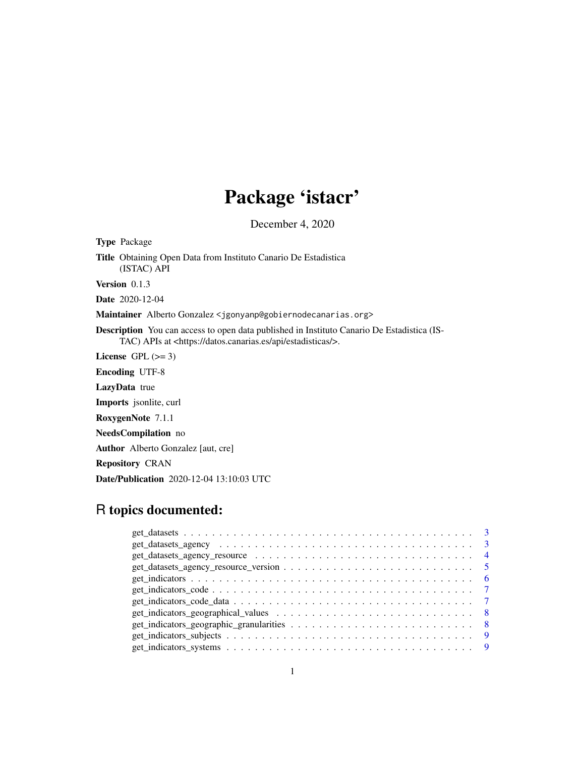# Package 'istacr'

December 4, 2020

Type Package Title Obtaining Open Data from Instituto Canario De Estadistica (ISTAC) API Version 0.1.3 Date 2020-12-04 Maintainer Alberto Gonzalez <jgonyanp@gobiernodecanarias.org> Description You can access to open data published in Instituto Canario De Estadistica (IS-TAC) APIs at <https://datos.canarias.es/api/estadisticas/>. License GPL  $(>= 3)$ Encoding UTF-8 LazyData true Imports jsonlite, curl RoxygenNote 7.1.1 NeedsCompilation no Author Alberto Gonzalez [aut, cre] Repository CRAN Date/Publication 2020-12-04 13:10:03 UTC

# R topics documented:

| $get\_indicates\_code\_data \dots \dots \dots \dots \dots \dots \dots \dots \dots \dots \dots \dots \dots \dots$ |  |
|------------------------------------------------------------------------------------------------------------------|--|
|                                                                                                                  |  |
|                                                                                                                  |  |
|                                                                                                                  |  |
|                                                                                                                  |  |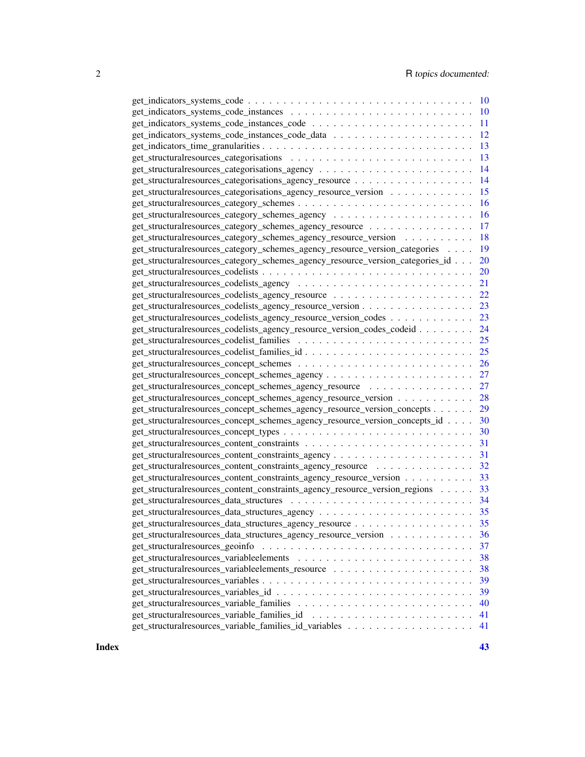|                                                                                                                                                                                                                                | <sup>10</sup> |
|--------------------------------------------------------------------------------------------------------------------------------------------------------------------------------------------------------------------------------|---------------|
|                                                                                                                                                                                                                                | 10            |
| get_indicators_systems_code_instances_code \national \national \national \nations\nations\nations\nations\nations\nations\nations\nations\nations\nations\nations\nations\nations\nations\nations\nations\nations\nations\nati | 11            |
|                                                                                                                                                                                                                                | 12            |
|                                                                                                                                                                                                                                | 13            |
|                                                                                                                                                                                                                                | 13            |
|                                                                                                                                                                                                                                | 14            |
| get_structuralresources_categorisations_agency_resource                                                                                                                                                                        | 14            |
| get_structuralresources_categorisations_agency_resource_version                                                                                                                                                                | 15            |
|                                                                                                                                                                                                                                | 16            |
|                                                                                                                                                                                                                                | 16            |
| get_structuralresources_category_schemes_agency_resource                                                                                                                                                                       | 17            |
| get_structuralresources_category_schemes_agency_resource_version                                                                                                                                                               | 18            |
| get_structuralresources_category_schemes_agency_resource_version_categories                                                                                                                                                    | 19            |
| get_structuralresources_category_schemes_agency_resource_version_categories_id                                                                                                                                                 | 20            |
|                                                                                                                                                                                                                                | <b>20</b>     |
|                                                                                                                                                                                                                                | 21            |
|                                                                                                                                                                                                                                | 22            |
| get_structuralresources_codelists_agency_resource_version                                                                                                                                                                      | 23            |
| get_structuralresources_codelists_agency_resource_version_codes                                                                                                                                                                | 23            |
| get_structuralresources_codelists_agency_resource_version_codes_codeid                                                                                                                                                         | 24            |
|                                                                                                                                                                                                                                | 25            |
|                                                                                                                                                                                                                                | 25            |
|                                                                                                                                                                                                                                | 26            |
|                                                                                                                                                                                                                                | 27            |
| get_structuralresources_concept_schemes_agency_resource \\cdots\\cdots\\cdots\\cdots\\cdots\\cdots\\cdots\\cdots\\cdots\\cdots\\cdots\\cdots\\cdots\\cdots\\cdots\\cdots\\cdots\\cdots\\cdots\\cdots\\cdots\\cdots\\cdots\\cdo | 27            |
| get_structuralresources_concept_schemes_agency_resource_version                                                                                                                                                                | 28            |
| get_structuralresources_concept_schemes_agency_resource_version_concepts                                                                                                                                                       | 29            |
| get_structuralresources_concept_schemes_agency_resource_version_concepts_id                                                                                                                                                    | 30            |
|                                                                                                                                                                                                                                | 30            |
|                                                                                                                                                                                                                                | 31            |
|                                                                                                                                                                                                                                | 31            |
| get_structuralresources_content_constraints_agency_resource                                                                                                                                                                    | 32            |
| get_structuralresources_content_constraints_agency_resource_version                                                                                                                                                            | 33            |
| get_structuralresources_content_constraints_agency_resource_version_regions                                                                                                                                                    | 33            |
|                                                                                                                                                                                                                                | 34            |
|                                                                                                                                                                                                                                | 35            |
| get_structuralresources_data_structures_agency_resource                                                                                                                                                                        | 35            |
| get_structuralresources_data_structures_agency_resource_version                                                                                                                                                                | 36            |
| get_structuralresources_geoinfo                                                                                                                                                                                                | 37            |
|                                                                                                                                                                                                                                | 38            |
|                                                                                                                                                                                                                                | 38            |
|                                                                                                                                                                                                                                | 39            |
|                                                                                                                                                                                                                                | 39            |
|                                                                                                                                                                                                                                | 40            |
| get_structuralresources_variable_families_id                                                                                                                                                                                   | 41            |
|                                                                                                                                                                                                                                | 41            |
|                                                                                                                                                                                                                                |               |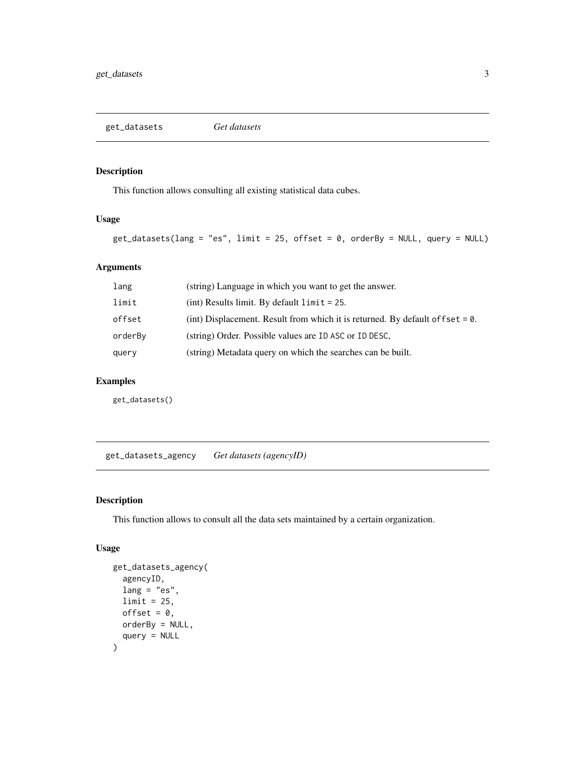<span id="page-2-0"></span>get\_datasets *Get datasets*

# Description

This function allows consulting all existing statistical data cubes.

#### Usage

```
get\_datasets(lang = "es", limit = 25, offset = 0, orderBy = NULL, query = NULL)
```
# Arguments

| lang    | (string) Language in which you want to get the answer.                            |
|---------|-----------------------------------------------------------------------------------|
| limit   | $(int)$ Results limit. By default $limit = 25$ .                                  |
| offset  | (int) Displacement. Result from which it is returned. By default of f set $= 0$ . |
| orderBy | (string) Order. Possible values are ID ASC or ID DESC,                            |
| query   | (string) Metadata query on which the searches can be built.                       |

# Examples

get\_datasets()

get\_datasets\_agency *Get datasets (agencyID)*

#### Description

This function allows to consult all the data sets maintained by a certain organization.

# Usage

```
get_datasets_agency(
  agencyID,
 lang = "es",limit = 25,offset = 0,
 orderBy = NULL,
  query = NULL
\mathcal{L}
```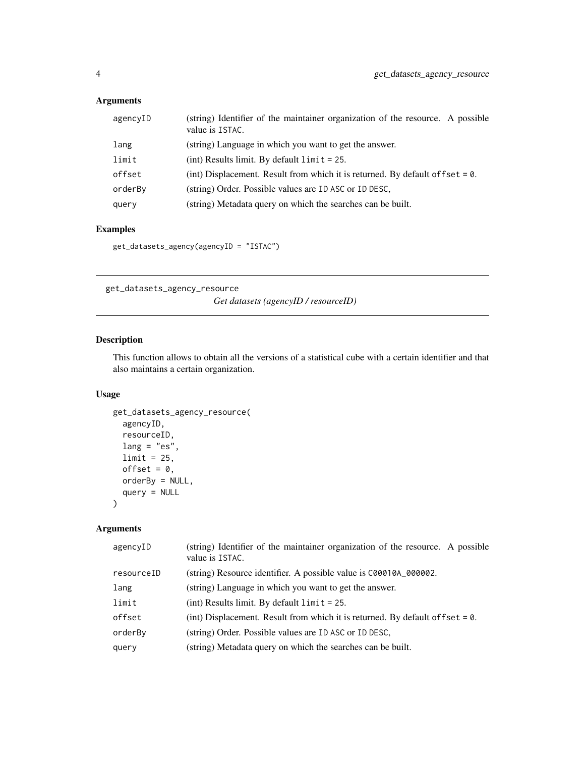# <span id="page-3-0"></span>Arguments

| agencyID | (string) Identifier of the maintainer organization of the resource. A possible<br>value is ISTAC. |
|----------|---------------------------------------------------------------------------------------------------|
| lang     | (string) Language in which you want to get the answer.                                            |
| limit    | $(int)$ Results limit. By default $limit = 25$ .                                                  |
| offset   | (int) Displacement. Result from which it is returned. By default of fset $= 0$ .                  |
| orderBy  | (string) Order. Possible values are ID ASC or ID DESC,                                            |
| query    | (string) Metadata query on which the searches can be built.                                       |

#### Examples

```
get_datasets_agency(agencyID = "ISTAC")
```
get\_datasets\_agency\_resource *Get datasets (agencyID / resourceID)*

# Description

This function allows to obtain all the versions of a statistical cube with a certain identifier and that also maintains a certain organization.

# Usage

```
get_datasets_agency_resource(
 agencyID,
 resourceID,
 lang = "es",limit = 25,offset = 0,
 orderBy = NULL,
 query = NULL
)
```

| agencyID   | (string) Identifier of the maintainer organization of the resource. A possible<br>value is ISTAC. |
|------------|---------------------------------------------------------------------------------------------------|
| resourceID | (string) Resource identifier. A possible value is C00010A_000002.                                 |
| lang       | (string) Language in which you want to get the answer.                                            |
| limit      | $(int)$ Results limit. By default $limit = 25$ .                                                  |
| offset     | (int) Displacement. Result from which it is returned. By default of $f$ set = 0.                  |
| orderBy    | (string) Order. Possible values are ID ASC or ID DESC,                                            |
| query      | (string) Metadata query on which the searches can be built.                                       |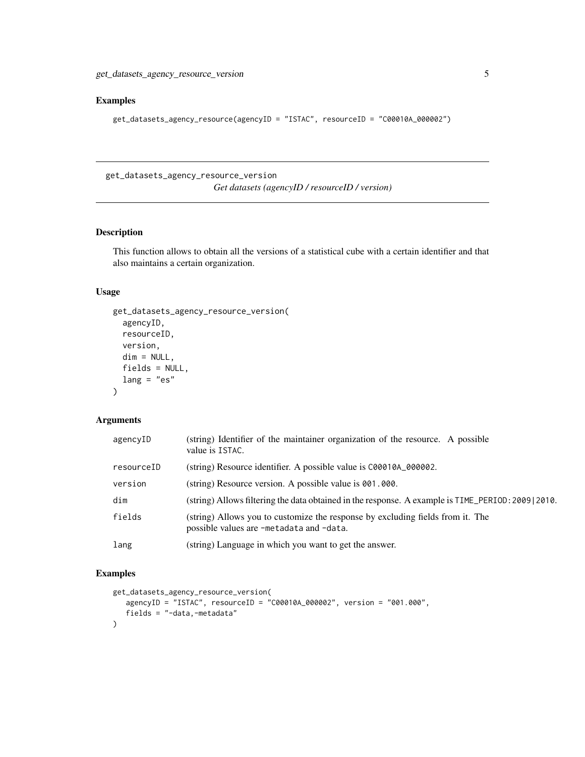<span id="page-4-0"></span>get\_datasets\_agency\_resource\_version 5

#### Examples

```
get_datasets_agency_resource(agencyID = "ISTAC", resourceID = "C00010A_000002")
```
get\_datasets\_agency\_resource\_version *Get datasets (agencyID / resourceID / version)*

#### Description

This function allows to obtain all the versions of a statistical cube with a certain identifier and that also maintains a certain organization.

# Usage

```
get_datasets_agency_resource_version(
  agencyID,
  resourceID,
 version,
 dim = NULL,
  fields = NULL,
 lang = "es"
```
# $\lambda$

# Arguments

| agencyID   | (string) Identifier of the maintainer organization of the resource. A possible<br>value is ISTAC.                          |
|------------|----------------------------------------------------------------------------------------------------------------------------|
| resourceID | (string) Resource identifier. A possible value is C00010A_000002.                                                          |
| version    | (string) Resource version. A possible value is 001.000.                                                                    |
| dim        | (string) Allows filtering the data obtained in the response. A example is TIME_PERIOD: 2009   2010.                        |
| fields     | (string) Allows you to customize the response by excluding fields from it. The<br>possible values are -metadata and -data. |
| lang       | (string) Language in which you want to get the answer.                                                                     |

```
get_datasets_agency_resource_version(
  agencyID = "ISTAC", resourceID = "C00010A_000002", version = "001.000",
   fields = "-data,-metadata"
)
```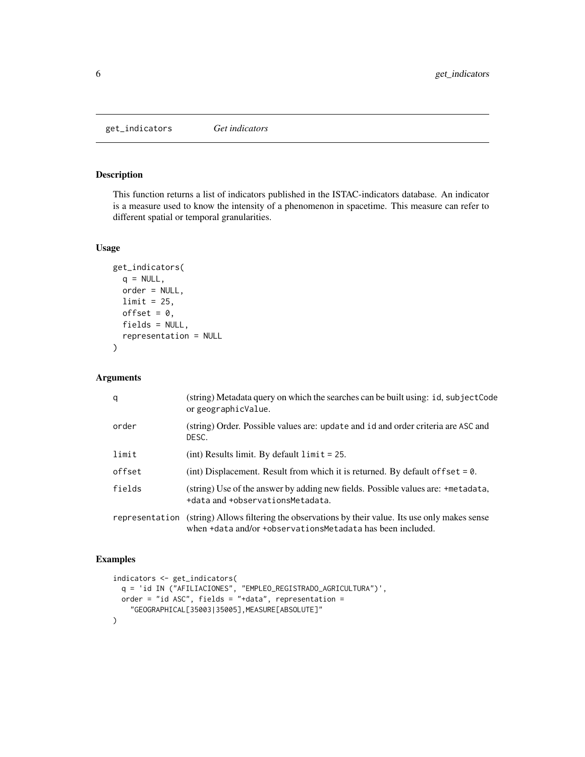<span id="page-5-0"></span>get\_indicators *Get indicators*

#### Description

This function returns a list of indicators published in the ISTAC-indicators database. An indicator is a measure used to know the intensity of a phenomenon in spacetime. This measure can refer to different spatial or temporal granularities.

#### Usage

```
get_indicators(
  q = NULL,order = NULL,
 limit = 25,offset = 0,
  fields = NULL,
  representation = NULL
)
```
#### Arguments

| q              | (string) Metadata query on which the searches can be built using: id, subjectCode<br>or geographicValue.                                          |
|----------------|---------------------------------------------------------------------------------------------------------------------------------------------------|
| order          | (string) Order. Possible values are: update and id and order criteria are ASC and<br>DESC.                                                        |
| limit          | $(int)$ Results limit. By default $limit = 25$ .                                                                                                  |
| offset         | (int) Displacement. Result from which it is returned. By default of fset = $0$ .                                                                  |
| fields         | (string) Use of the answer by adding new fields. Possible values are: +metadata,<br>+data and +observationsMetadata.                              |
| representation | (string) Allows filtering the observations by their value. Its use only makes sense<br>when +data and/or +observationsMetadata has been included. |

```
indicators <- get_indicators(
 q = 'id IN ("AFILIACIONES", "EMPLEO_REGISTRADO_AGRICULTURA")',
 order = "id ASC", fields = "+data", representation =
    "GEOGRAPHICAL[35003|35005],MEASURE[ABSOLUTE]"
)
```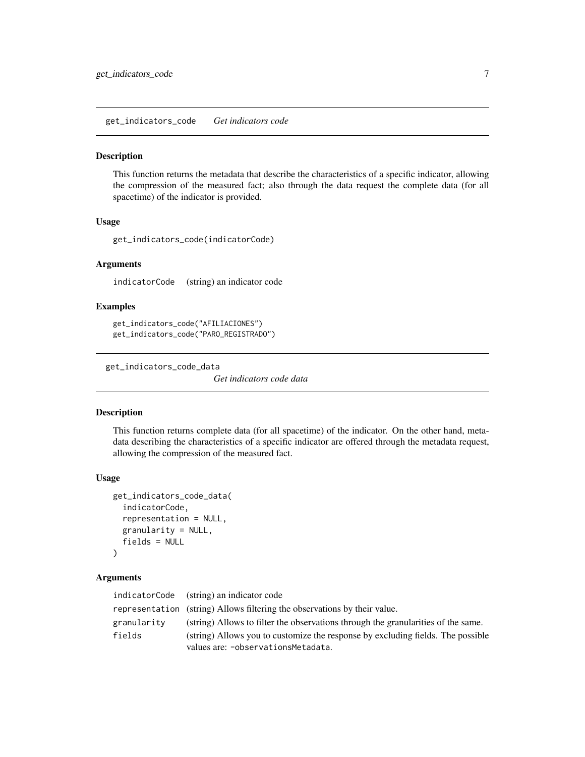<span id="page-6-0"></span>get\_indicators\_code *Get indicators code*

#### Description

This function returns the metadata that describe the characteristics of a specific indicator, allowing the compression of the measured fact; also through the data request the complete data (for all spacetime) of the indicator is provided.

#### Usage

get\_indicators\_code(indicatorCode)

#### Arguments

indicatorCode (string) an indicator code

#### Examples

```
get_indicators_code("AFILIACIONES")
get_indicators_code("PARO_REGISTRADO")
```
get\_indicators\_code\_data

*Get indicators code data*

#### Description

This function returns complete data (for all spacetime) of the indicator. On the other hand, metadata describing the characteristics of a specific indicator are offered through the metadata request, allowing the compression of the measured fact.

#### Usage

```
get_indicators_code_data(
  indicatorCode,
  representation = NULL,
  granularity = NULL,
  fields = NULL
)
```

|             | indicatorCode (string) an indicator code                                          |
|-------------|-----------------------------------------------------------------------------------|
|             | representation (string) Allows filtering the observations by their value.         |
| granularity | (string) Allows to filter the observations through the granularities of the same. |
| fields      | (string) Allows you to customize the response by excluding fields. The possible   |
|             | values are: -observationsMetadata.                                                |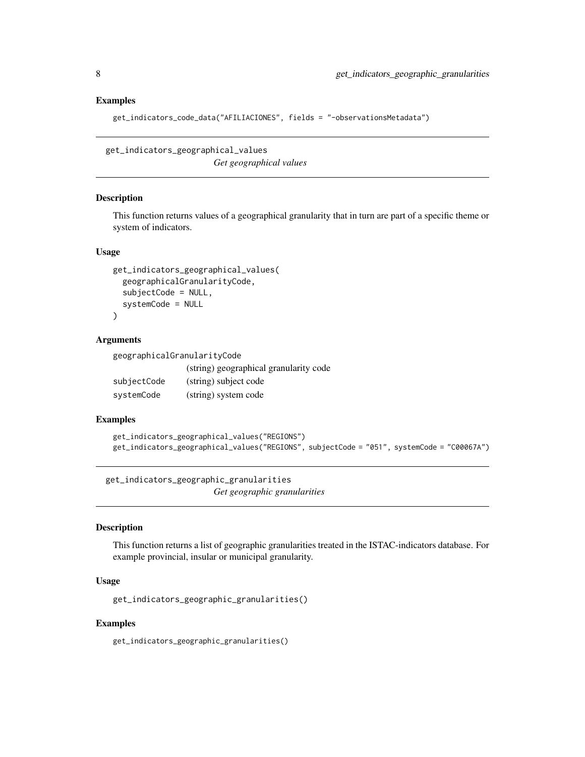#### Examples

```
get_indicators_code_data("AFILIACIONES", fields = "-observationsMetadata")
```
get\_indicators\_geographical\_values *Get geographical values*

#### Description

This function returns values of a geographical granularity that in turn are part of a specific theme or system of indicators.

#### Usage

```
get_indicators_geographical_values(
  geographicalGranularityCode,
  subjectCode = NULL,
  systemCode = NULL
\lambda
```
#### Arguments

| geographicalGranularityCode |                                        |
|-----------------------------|----------------------------------------|
|                             | (string) geographical granularity code |
| subjectCode                 | (string) subject code                  |
| systemCode                  | (string) system code                   |

#### Examples

```
get_indicators_geographical_values("REGIONS")
get_indicators_geographical_values("REGIONS", subjectCode = "051", systemCode = "C00067A")
```
get\_indicators\_geographic\_granularities *Get geographic granularities*

#### Description

This function returns a list of geographic granularities treated in the ISTAC-indicators database. For example provincial, insular or municipal granularity.

#### Usage

get\_indicators\_geographic\_granularities()

#### Examples

get\_indicators\_geographic\_granularities()

<span id="page-7-0"></span>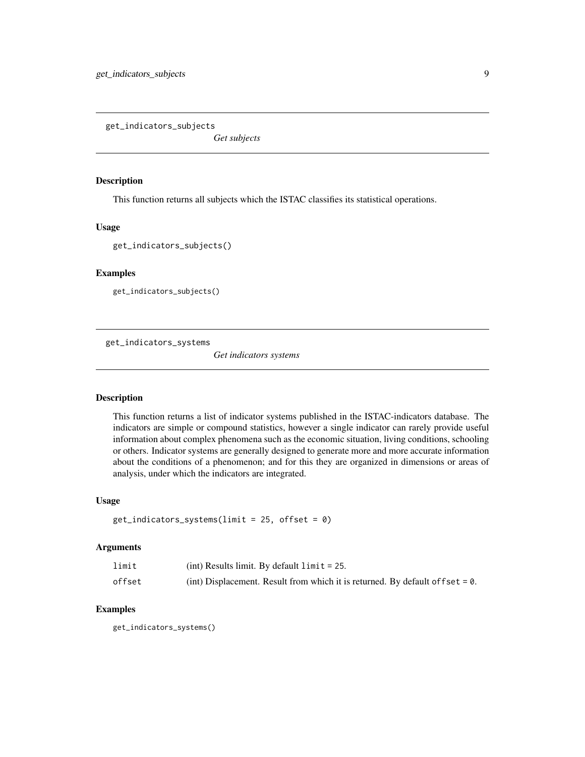<span id="page-8-0"></span>get\_indicators\_subjects

*Get subjects*

#### Description

This function returns all subjects which the ISTAC classifies its statistical operations.

#### Usage

get\_indicators\_subjects()

#### Examples

get\_indicators\_subjects()

get\_indicators\_systems

*Get indicators systems*

#### Description

This function returns a list of indicator systems published in the ISTAC-indicators database. The indicators are simple or compound statistics, however a single indicator can rarely provide useful information about complex phenomena such as the economic situation, living conditions, schooling or others. Indicator systems are generally designed to generate more and more accurate information about the conditions of a phenomenon; and for this they are organized in dimensions or areas of analysis, under which the indicators are integrated.

#### Usage

```
get_indicators_systems(limit = 25, offset = 0)
```
#### Arguments

| limit  | (int) Results limit. By default $\lim_{t \to \infty} t = 25$ .                    |
|--------|-----------------------------------------------------------------------------------|
| offset | (int) Displacement. Result from which it is returned. By default of f set $= 0$ . |

# Examples

get\_indicators\_systems()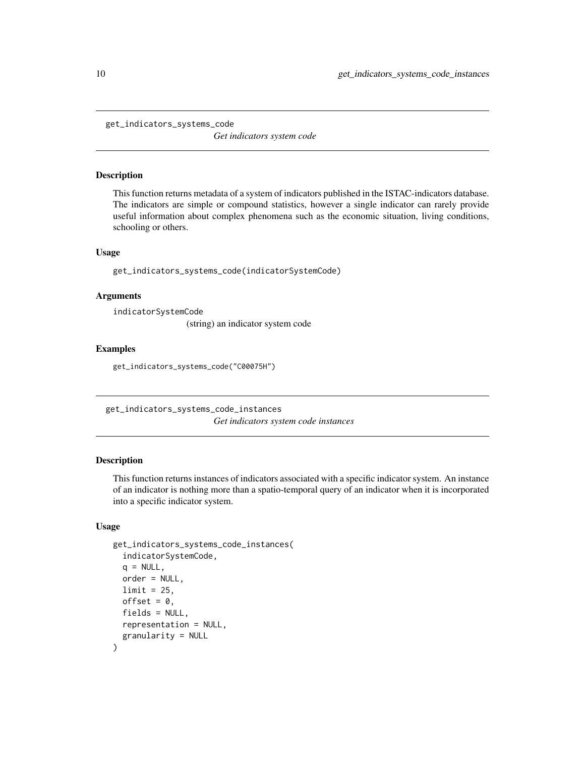<span id="page-9-0"></span>get\_indicators\_systems\_code

*Get indicators system code*

#### Description

This function returns metadata of a system of indicators published in the ISTAC-indicators database. The indicators are simple or compound statistics, however a single indicator can rarely provide useful information about complex phenomena such as the economic situation, living conditions, schooling or others.

# Usage

get\_indicators\_systems\_code(indicatorSystemCode)

#### **Arguments**

indicatorSystemCode

(string) an indicator system code

#### Examples

get\_indicators\_systems\_code("C00075H")

get\_indicators\_systems\_code\_instances *Get indicators system code instances*

#### Description

This function returns instances of indicators associated with a specific indicator system. An instance of an indicator is nothing more than a spatio-temporal query of an indicator when it is incorporated into a specific indicator system.

#### Usage

```
get_indicators_systems_code_instances(
  indicatorSystemCode,
  q = NULL,order = NULL,
  limit = 25,
 offset = 0,
  fields = NULL,
  representation = NULL,
  granularity = NULL
)
```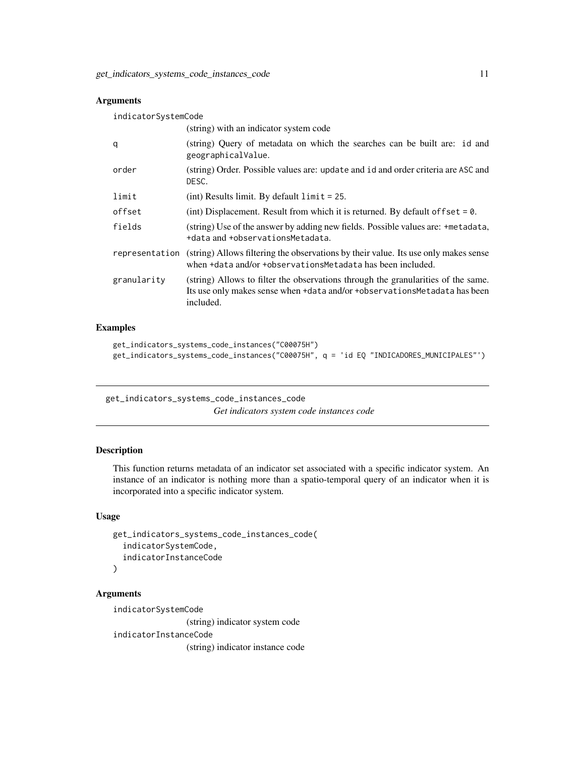# <span id="page-10-0"></span>Arguments

| indicatorSystemCode |                                                                                                                                                                             |  |
|---------------------|-----------------------------------------------------------------------------------------------------------------------------------------------------------------------------|--|
|                     | (string) with an indicator system code                                                                                                                                      |  |
| q                   | (string) Query of metadata on which the searches can be built are: id and<br>geographicalValue.                                                                             |  |
| order               | (string) Order. Possible values are: update and id and order criteria are ASC and<br>DESC.                                                                                  |  |
| limit               | (int) Results limit. By default $\lim_{t \to \infty} t = 25$ .                                                                                                              |  |
| offset              | (int) Displacement. Result from which it is returned. By default of fset $= 0$ .                                                                                            |  |
| fields              | (string) Use of the answer by adding new fields. Possible values are: +metadata,<br>+data and +observationsMetadata.                                                        |  |
| representation      | (string) Allows filtering the observations by their value. Its use only makes sense<br>when +data and/or +observationsMetadata has been included.                           |  |
| granularity         | (string) Allows to filter the observations through the granularities of the same.<br>Its use only makes sense when +data and/or +observationsMetadata has been<br>included. |  |

#### Examples

```
get_indicators_systems_code_instances("C00075H")
get_indicators_systems_code_instances("C00075H", q = 'id EQ "INDICADORES_MUNICIPALES"')
```
get\_indicators\_systems\_code\_instances\_code

*Get indicators system code instances code*

# Description

This function returns metadata of an indicator set associated with a specific indicator system. An instance of an indicator is nothing more than a spatio-temporal query of an indicator when it is incorporated into a specific indicator system.

#### Usage

```
get_indicators_systems_code_instances_code(
  indicatorSystemCode,
  indicatorInstanceCode
)
```
# Arguments

indicatorSystemCode (string) indicator system code indicatorInstanceCode (string) indicator instance code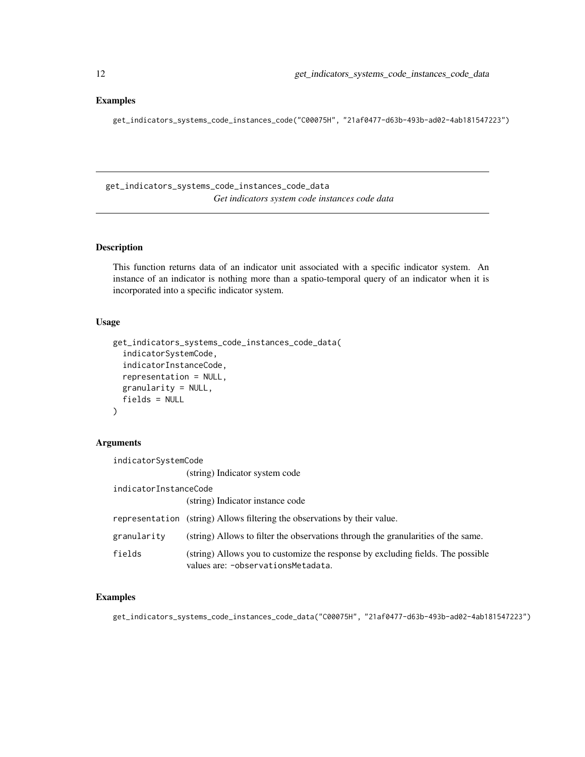#### <span id="page-11-0"></span>Examples

get\_indicators\_systems\_code\_instances\_code("C00075H", "21af0477-d63b-493b-ad02-4ab181547223")

get\_indicators\_systems\_code\_instances\_code\_data *Get indicators system code instances code data*

# Description

This function returns data of an indicator unit associated with a specific indicator system. An instance of an indicator is nothing more than a spatio-temporal query of an indicator when it is incorporated into a specific indicator system.

#### Usage

```
get_indicators_systems_code_instances_code_data(
  indicatorSystemCode,
  indicatorInstanceCode,
  representation = NULL,
  granularity = NULL,
  fields = NULL
)
```
# Arguments

| indicatorSystemCode   |                                                                                                                         |
|-----------------------|-------------------------------------------------------------------------------------------------------------------------|
|                       | (string) Indicator system code                                                                                          |
| indicatorInstanceCode |                                                                                                                         |
|                       | (string) Indicator instance code                                                                                        |
|                       | representation (string) Allows filtering the observations by their value.                                               |
| granularity           | (string) Allows to filter the observations through the granularities of the same.                                       |
| fields                | (string) Allows you to customize the response by excluding fields. The possible<br>values are: - observations Metadata. |

# Examples

get\_indicators\_systems\_code\_instances\_code\_data("C00075H", "21af0477-d63b-493b-ad02-4ab181547223")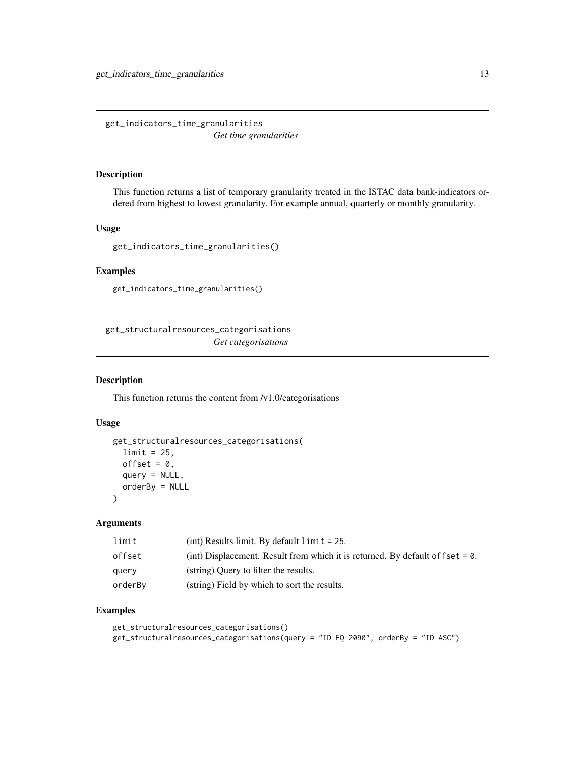<span id="page-12-0"></span>get\_indicators\_time\_granularities *Get time granularities*

#### Description

This function returns a list of temporary granularity treated in the ISTAC data bank-indicators ordered from highest to lowest granularity. For example annual, quarterly or monthly granularity.

#### Usage

```
get_indicators_time_granularities()
```
# Examples

get\_indicators\_time\_granularities()

get\_structuralresources\_categorisations *Get categorisations*

#### Description

This function returns the content from /v1.0/categorisations

#### Usage

```
get_structuralresources_categorisations(
 limit = 25,offset = 0.
 query = NULL,
 orderBy = NULL
)
```
#### Arguments

| limit   | $(int)$ Results limit. By default $limit = 25$ .                                  |
|---------|-----------------------------------------------------------------------------------|
| offset  | (int) Displacement. Result from which it is returned. By default of f set $= 0$ . |
| querv   | (string) Query to filter the results.                                             |
| orderBv | (string) Field by which to sort the results.                                      |

```
get_structuralresources_categorisations()
get_structuralresources_categorisations(query = "ID EQ 2090", orderBy = "ID ASC")
```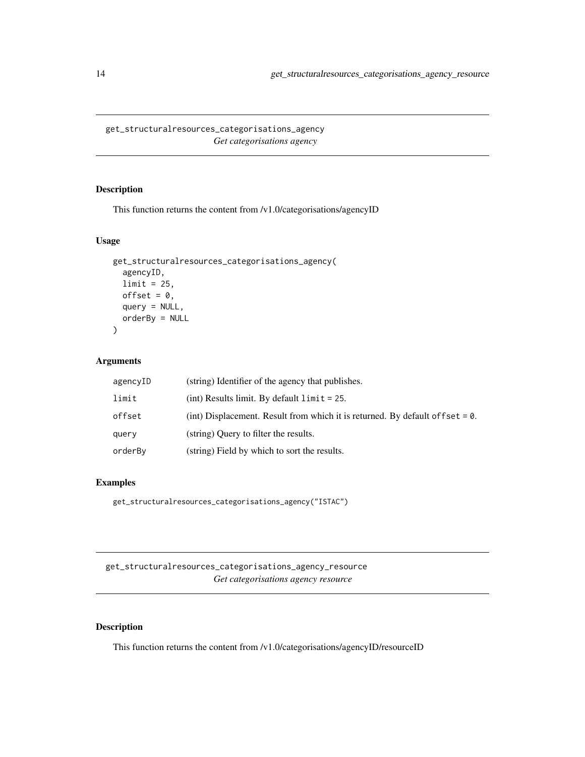<span id="page-13-0"></span>get\_structuralresources\_categorisations\_agency *Get categorisations agency*

# Description

This function returns the content from /v1.0/categorisations/agencyID

# Usage

```
get_structuralresources_categorisations_agency(
  agencyID,
  limit = 25,
 offset = 0,
 query = NULL,
 orderBy = NULL
)
```
#### Arguments

| agencyID | (string) Identifier of the agency that publishes.                                |
|----------|----------------------------------------------------------------------------------|
| limit    | (int) Results limit. By default $\lim_{t \to \infty} t = 25$ .                   |
| offset   | (int) Displacement. Result from which it is returned. By default of $f$ set = 0. |
| query    | (string) Query to filter the results.                                            |
| orderBy  | (string) Field by which to sort the results.                                     |

#### Examples

get\_structuralresources\_categorisations\_agency("ISTAC")

get\_structuralresources\_categorisations\_agency\_resource *Get categorisations agency resource*

# Description

This function returns the content from /v1.0/categorisations/agencyID/resourceID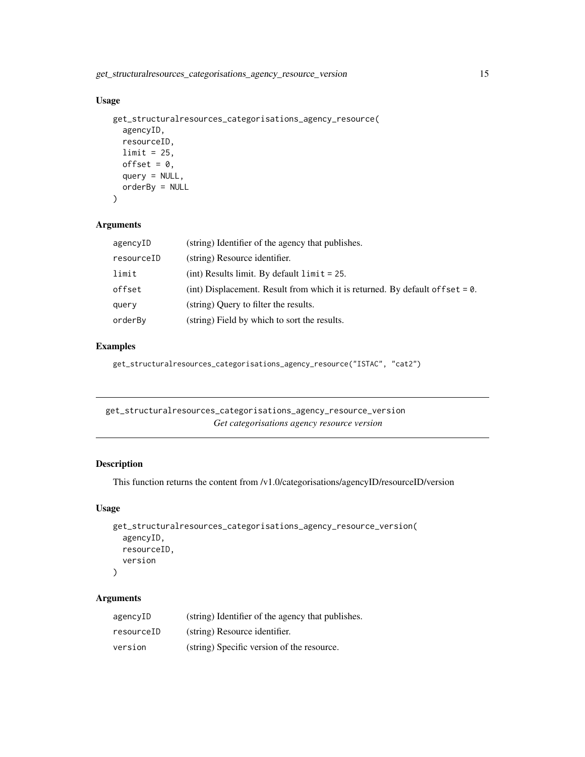<span id="page-14-0"></span>get\_structuralresources\_categorisations\_agency\_resource\_version 15

# Usage

```
get_structuralresources_categorisations_agency_resource(
  agencyID,
  resourceID,
 limit = 25,
 offset = 0,
 query = NULL,
 orderBy = NULL
)
```
# Arguments

| agencyID   | (string) Identifier of the agency that publishes.                                |
|------------|----------------------------------------------------------------------------------|
| resourceID | (string) Resource identifier.                                                    |
| limit      | $(int)$ Results limit. By default $limit = 25$ .                                 |
| offset     | (int) Displacement. Result from which it is returned. By default of $f$ set = 0. |
| query      | (string) Query to filter the results.                                            |
| orderBy    | (string) Field by which to sort the results.                                     |

# Examples

get\_structuralresources\_categorisations\_agency\_resource("ISTAC", "cat2")

get\_structuralresources\_categorisations\_agency\_resource\_version *Get categorisations agency resource version*

# Description

This function returns the content from /v1.0/categorisations/agencyID/resourceID/version

#### Usage

```
get_structuralresources_categorisations_agency_resource_version(
  agencyID,
 resourceID,
  version
)
```

| agencyID   | (string) Identifier of the agency that publishes. |
|------------|---------------------------------------------------|
| resourceID | (string) Resource identifier.                     |
| version    | (string) Specific version of the resource.        |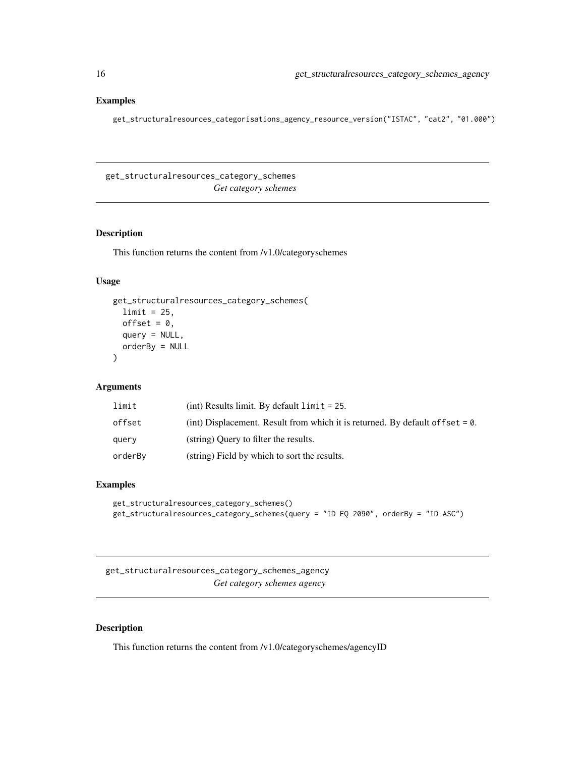# <span id="page-15-0"></span>Examples

get\_structuralresources\_categorisations\_agency\_resource\_version("ISTAC", "cat2", "01.000")

get\_structuralresources\_category\_schemes *Get category schemes*

# Description

This function returns the content from /v1.0/categoryschemes

# Usage

```
get_structuralresources_category_schemes(
  limit = 25,offset = 0,
  query = NULL,
  orderBy = NULL
\mathcal{L}
```
# Arguments

| limit   | (int) Results limit. By default $\lim i = 25$ .                                   |
|---------|-----------------------------------------------------------------------------------|
| offset  | (int) Displacement. Result from which it is returned. By default of f set $= 0$ . |
| query   | (string) Ouery to filter the results.                                             |
| orderBv | (string) Field by which to sort the results.                                      |

#### Examples

```
get_structuralresources_category_schemes()
get_structuralresources_category_schemes(query = "ID EQ 2090", orderBy = "ID ASC")
```
get\_structuralresources\_category\_schemes\_agency *Get category schemes agency*

#### Description

This function returns the content from /v1.0/categoryschemes/agencyID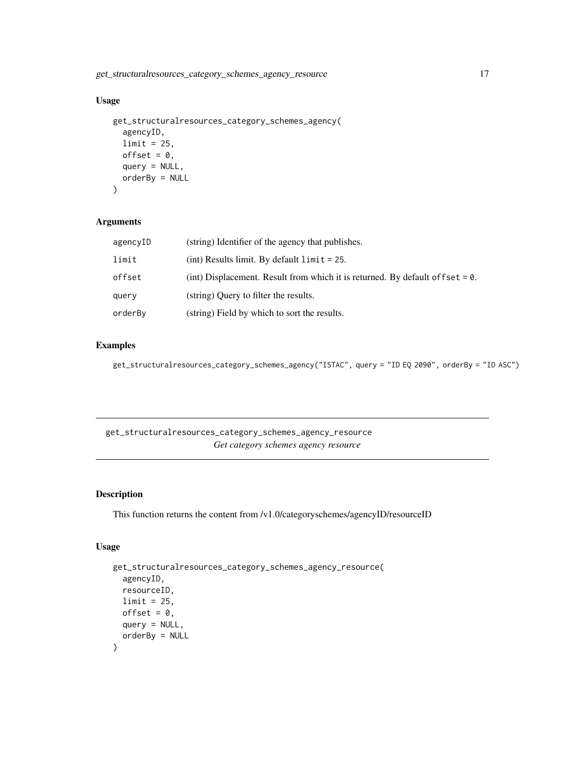<span id="page-16-0"></span>get\_structuralresources\_category\_schemes\_agency\_resource 17

# Usage

```
get_structuralresources_category_schemes_agency(
  agencyID,
 limit = 25,offset = 0,query = NULL,
 orderBy = NULL
\mathcal{L}
```
# Arguments

| agencyID | (string) Identifier of the agency that publishes.                                |
|----------|----------------------------------------------------------------------------------|
| limit    | (int) Results limit. By default $\lim_{t \to \infty} t = 25$ .                   |
| offset   | (int) Displacement. Result from which it is returned. By default of fset $= 0$ . |
| query    | (string) Ouery to filter the results.                                            |
| orderBy  | (string) Field by which to sort the results.                                     |

#### Examples

```
get_structuralresources_category_schemes_agency("ISTAC", query = "ID EQ 2090", orderBy = "ID ASC")
```
get\_structuralresources\_category\_schemes\_agency\_resource *Get category schemes agency resource*

# Description

This function returns the content from /v1.0/categoryschemes/agencyID/resourceID

# Usage

```
get_structuralresources_category_schemes_agency_resource(
  agencyID,
  resourceID,
 limit = 25,offset = 0,
 query = NULL,
 orderBy = NULL
\mathcal{L}
```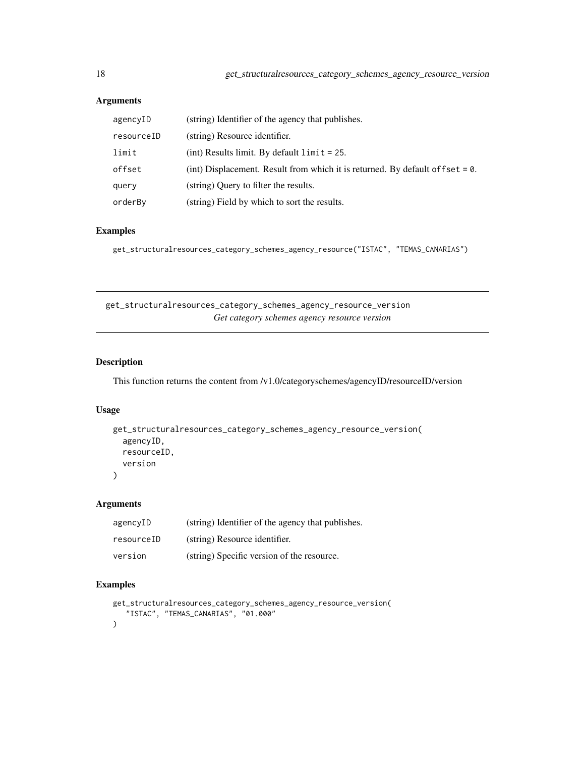# Arguments

| agencyID   | (string) Identifier of the agency that publishes.                                 |
|------------|-----------------------------------------------------------------------------------|
| resourceID | (string) Resource identifier.                                                     |
| limit      | $(int)$ Results limit. By default $limit = 25$ .                                  |
| offset     | (int) Displacement. Result from which it is returned. By default of f set $= 0$ . |
| query      | (string) Query to filter the results.                                             |
| orderBy    | (string) Field by which to sort the results.                                      |

# Examples

get\_structuralresources\_category\_schemes\_agency\_resource("ISTAC", "TEMAS\_CANARIAS")

get\_structuralresources\_category\_schemes\_agency\_resource\_version *Get category schemes agency resource version*

# Description

This function returns the content from /v1.0/categoryschemes/agencyID/resourceID/version

# Usage

```
get_structuralresources_category_schemes_agency_resource_version(
  agencyID,
 resourceID,
  version
)
```
#### Arguments

| agencyID   | (string) Identifier of the agency that publishes. |
|------------|---------------------------------------------------|
| resourceID | (string) Resource identifier.                     |
| version    | (string) Specific version of the resource.        |

```
get_structuralresources_category_schemes_agency_resource_version(
   "ISTAC", "TEMAS_CANARIAS", "01.000"
)
```
<span id="page-17-0"></span>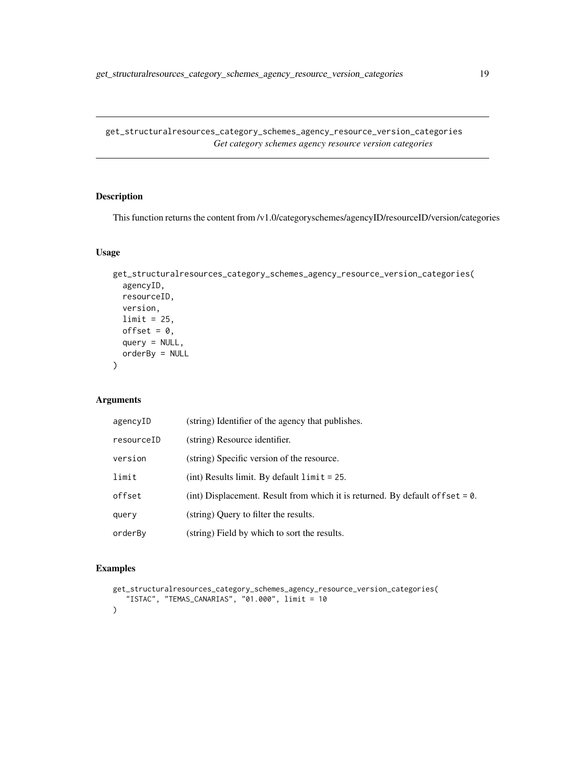<span id="page-18-0"></span>get\_structuralresources\_category\_schemes\_agency\_resource\_version\_categories *Get category schemes agency resource version categories*

# Description

This function returns the content from /v1.0/categoryschemes/agencyID/resourceID/version/categories

# Usage

```
get_structuralresources_category_schemes_agency_resource_version_categories(
  agencyID,
  resourceID,
  version,
  limit = 25,offset = 0,
  query = NULL,
  orderBy = NULL
)
```
# Arguments

| agencyID   | (string) Identifier of the agency that publishes.                                 |
|------------|-----------------------------------------------------------------------------------|
| resourceID | (string) Resource identifier.                                                     |
| version    | (string) Specific version of the resource.                                        |
| limit      | (int) Results limit. By default $\lim i = 25$ .                                   |
| offset     | (int) Displacement. Result from which it is returned. By default of f set $= 0$ . |
| querv      | (string) Query to filter the results.                                             |
| orderBv    | (string) Field by which to sort the results.                                      |

```
get_structuralresources_category_schemes_agency_resource_version_categories(
   "ISTAC", "TEMAS_CANARIAS", "01.000", limit = 10
\mathcal{L}
```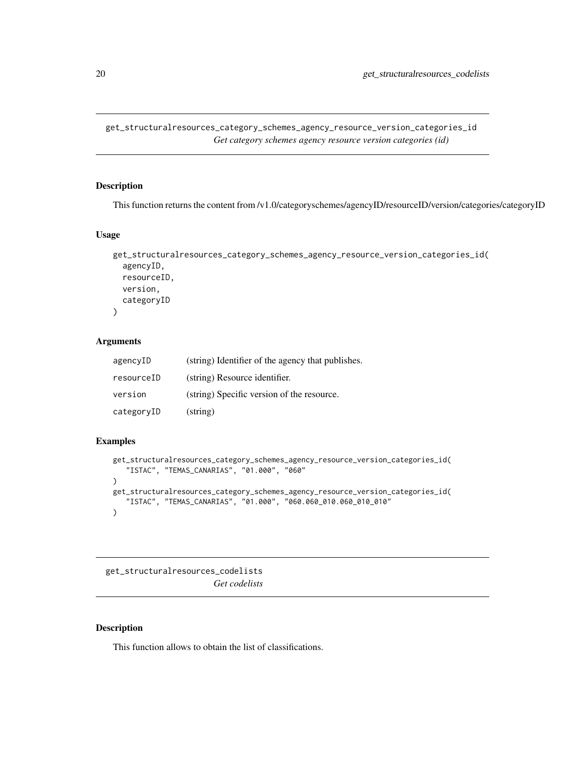<span id="page-19-0"></span>get\_structuralresources\_category\_schemes\_agency\_resource\_version\_categories\_id *Get category schemes agency resource version categories (id)*

#### Description

This function returns the content from /v1.0/categoryschemes/agencyID/resourceID/version/categories/categoryID

#### Usage

```
get_structuralresources_category_schemes_agency_resource_version_categories_id(
  agencyID,
  resourceID,
 version,
  categoryID
)
```
# Arguments

| agencyID   | (string) Identifier of the agency that publishes. |
|------------|---------------------------------------------------|
| resourceID | (string) Resource identifier.                     |
| version    | (string) Specific version of the resource.        |
| categoryID | $(\text{string})$                                 |

# Examples

```
get_structuralresources_category_schemes_agency_resource_version_categories_id(
   "ISTAC", "TEMAS_CANARIAS", "01.000", "060"
)
get_structuralresources_category_schemes_agency_resource_version_categories_id(
   "ISTAC", "TEMAS_CANARIAS", "01.000", "060.060_010.060_010_010"
\lambda
```
get\_structuralresources\_codelists *Get codelists*

#### Description

This function allows to obtain the list of classifications.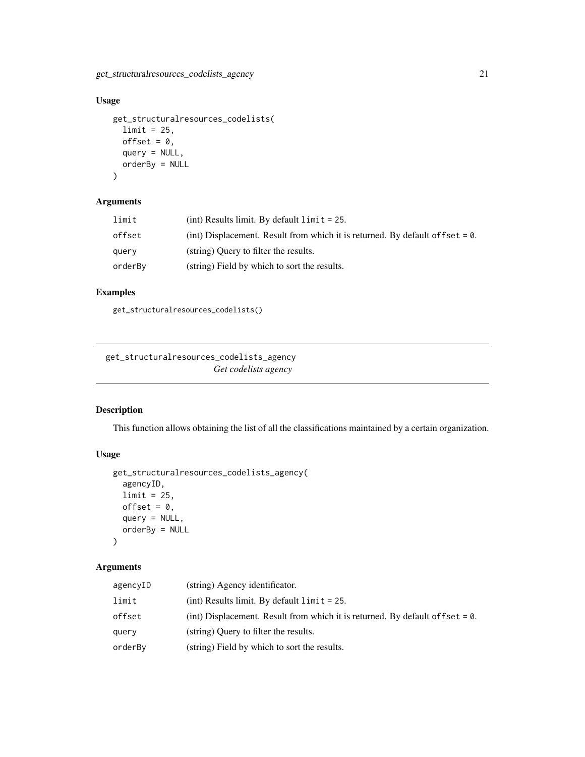<span id="page-20-0"></span>get\_structuralresources\_codelists\_agency 21

# Usage

```
get_structuralresources_codelists(
  limit = 25,offset = 0,
  query = NULL,
  orderBy = NULL
\overline{)}
```
# Arguments

| limit   | (int) Results limit. By default $\lim i = 25$ .                                  |
|---------|----------------------------------------------------------------------------------|
| offset  | (int) Displacement. Result from which it is returned. By default of fset $= 0$ . |
| query   | (string) Query to filter the results.                                            |
| orderBy | (string) Field by which to sort the results.                                     |

# Examples

get\_structuralresources\_codelists()

get\_structuralresources\_codelists\_agency *Get codelists agency*

# Description

This function allows obtaining the list of all the classifications maintained by a certain organization.

# Usage

```
get_structuralresources_codelists_agency(
  agencyID,
  limit = 25,offset = 0,query = NULL,
  orderBy = NULL
\mathcal{L}
```

| agencyID | (string) Agency identificator.                                                    |
|----------|-----------------------------------------------------------------------------------|
| limit    | $(int)$ Results limit. By default $limit = 25$ .                                  |
| offset   | (int) Displacement. Result from which it is returned. By default of f set $= 0$ . |
| query    | (string) Query to filter the results.                                             |
| orderBv  | (string) Field by which to sort the results.                                      |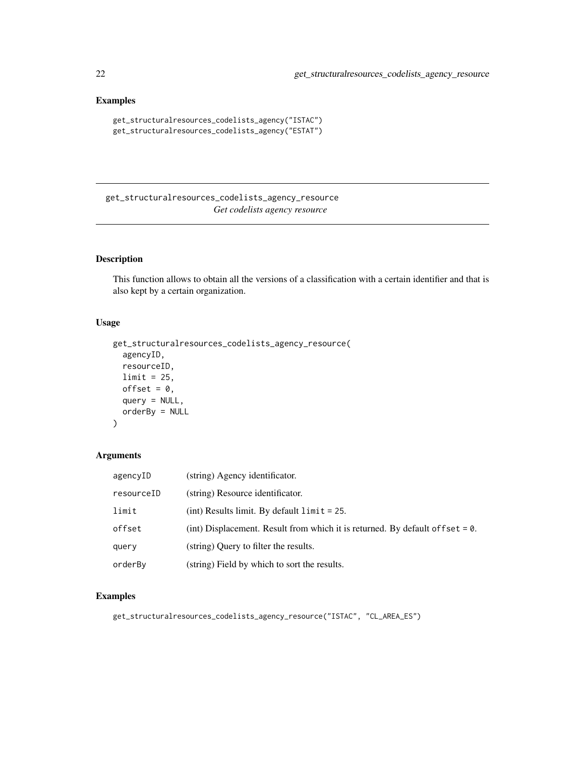# Examples

```
get_structuralresources_codelists_agency("ISTAC")
get_structuralresources_codelists_agency("ESTAT")
```
get\_structuralresources\_codelists\_agency\_resource *Get codelists agency resource*

# Description

This function allows to obtain all the versions of a classification with a certain identifier and that is also kept by a certain organization.

#### Usage

```
get_structuralresources_codelists_agency_resource(
  agencyID,
 resourceID,
 limit = 25,offset = 0,
 query = NULL,
 orderBy = NULL
)
```
# Arguments

| agencyID   | (string) Agency identificator.                                                   |
|------------|----------------------------------------------------------------------------------|
| resourceID | (string) Resource identificator.                                                 |
| limit      | (int) Results limit. By default $\lim_{t \to \infty} t = 25$ .                   |
| offset     | (int) Displacement. Result from which it is returned. By default of $f$ set = 0. |
| query      | (string) Ouery to filter the results.                                            |
| orderBv    | (string) Field by which to sort the results.                                     |

```
get_structuralresources_codelists_agency_resource("ISTAC", "CL_AREA_ES")
```
<span id="page-21-0"></span>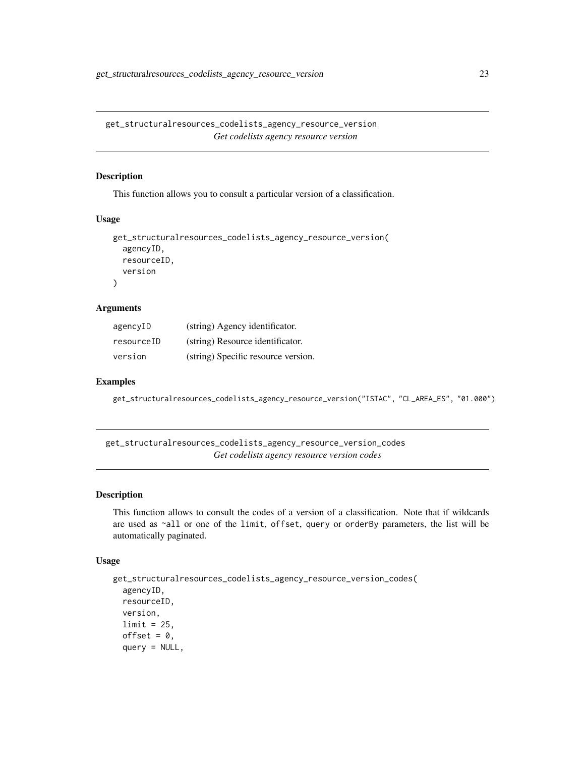<span id="page-22-0"></span>get\_structuralresources\_codelists\_agency\_resource\_version *Get codelists agency resource version*

#### Description

This function allows you to consult a particular version of a classification.

#### Usage

```
get_structuralresources_codelists_agency_resource_version(
  agencyID,
  resourceID,
  version
\mathcal{L}
```
#### Arguments

| agencyID   | (string) Agency identificator.      |
|------------|-------------------------------------|
| resourceID | (string) Resource identificator.    |
| version    | (string) Specific resource version. |

#### Examples

get\_structuralresources\_codelists\_agency\_resource\_version("ISTAC", "CL\_AREA\_ES", "01.000")

get\_structuralresources\_codelists\_agency\_resource\_version\_codes *Get codelists agency resource version codes*

#### Description

This function allows to consult the codes of a version of a classification. Note that if wildcards are used as ~all or one of the limit, offset, query or orderBy parameters, the list will be automatically paginated.

#### Usage

```
get_structuralresources_codelists_agency_resource_version_codes(
  agencyID,
 resourceID,
 version,
 limit = 25,offset = 0,query = NULL,
```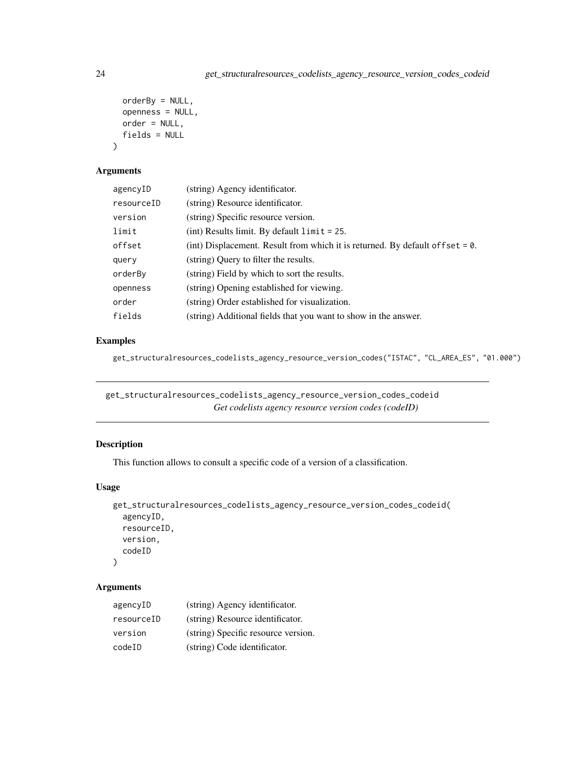```
orderBy = NULL,
  openness = NULL,
 order = NULL,
  fields = NULL
\lambda
```
#### Arguments

| agencyID   | (string) Agency identificator.                                                    |
|------------|-----------------------------------------------------------------------------------|
| resourceID | (string) Resource identificator.                                                  |
| version    | (string) Specific resource version.                                               |
| limit      | (int) Results limit. By default $\lim_{t \to \infty} t = 25$ .                    |
| offset     | (int) Displacement. Result from which it is returned. By default of f set $= 0$ . |
| query      | (string) Query to filter the results.                                             |
| orderBy    | (string) Field by which to sort the results.                                      |
| openness   | (string) Opening established for viewing.                                         |
| order      | (string) Order established for visualization.                                     |
| fields     | (string) Additional fields that you want to show in the answer.                   |

# Examples

get\_structuralresources\_codelists\_agency\_resource\_version\_codes("ISTAC", "CL\_AREA\_ES", "01.000")

get\_structuralresources\_codelists\_agency\_resource\_version\_codes\_codeid *Get codelists agency resource version codes (codeID)*

# Description

This function allows to consult a specific code of a version of a classification.

#### Usage

```
get_structuralresources_codelists_agency_resource_version_codes_codeid(
  agencyID,
 resourceID,
  version,
  codeID
\mathcal{L}
```

| agencyID   | (string) Agency identificator.      |
|------------|-------------------------------------|
| resourceID | (string) Resource identificator.    |
| version    | (string) Specific resource version. |
| codeID     | (string) Code identificator.        |

<span id="page-23-0"></span>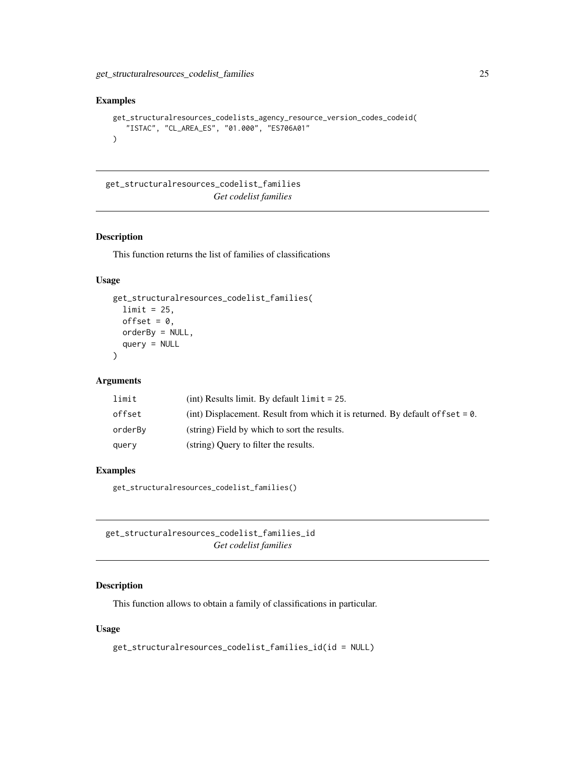#### <span id="page-24-0"></span>Examples

```
get_structuralresources_codelists_agency_resource_version_codes_codeid(
   "ISTAC", "CL_AREA_ES", "01.000", "ES706A01"
)
```
get\_structuralresources\_codelist\_families *Get codelist families*

# Description

This function returns the list of families of classifications

#### Usage

```
get_structuralresources_codelist_families(
  limit = 25,offset = 0,
 orderBy = NULL,
  query = NULL
\lambda
```
#### Arguments

| limit   | (int) Results limit. By default $\lim i = 25$ .                                   |
|---------|-----------------------------------------------------------------------------------|
| offset  | (int) Displacement. Result from which it is returned. By default of f set $= 0$ . |
| orderBv | (string) Field by which to sort the results.                                      |
| query   | (string) Ouery to filter the results.                                             |

#### Examples

get\_structuralresources\_codelist\_families()

get\_structuralresources\_codelist\_families\_id *Get codelist families*

# Description

This function allows to obtain a family of classifications in particular.

#### Usage

```
get_structuralresources_codelist_families_id(id = NULL)
```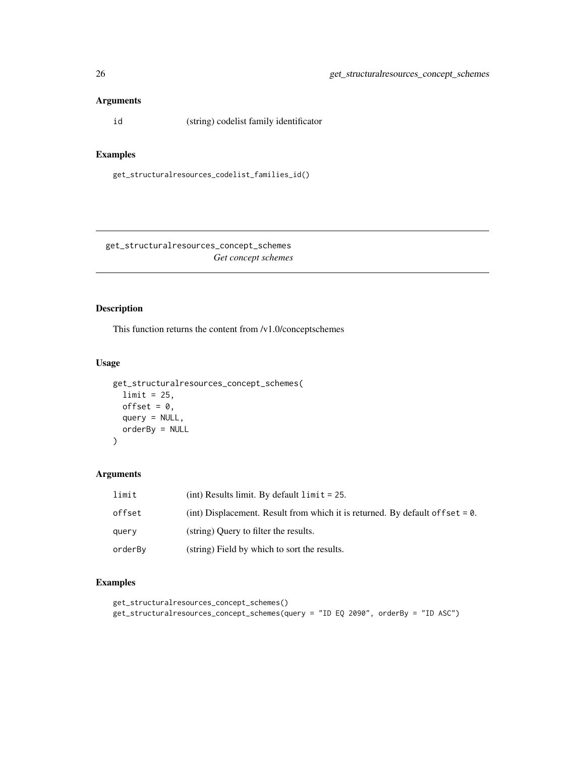# <span id="page-25-0"></span>Arguments

id (string) codelist family identificator

#### Examples

get\_structuralresources\_codelist\_families\_id()

get\_structuralresources\_concept\_schemes *Get concept schemes*

# Description

This function returns the content from /v1.0/conceptschemes

# Usage

```
get_structuralresources_concept_schemes(
 limit = 25,offset = 0,
 query = NULL,
 orderBy = NULL
)
```
#### Arguments

| limit   | $(int)$ Results limit. By default $limit = 25$ .                                 |
|---------|----------------------------------------------------------------------------------|
| offset  | (int) Displacement. Result from which it is returned. By default of fset $= 0$ . |
| query   | (string) Query to filter the results.                                            |
| orderBy | (string) Field by which to sort the results.                                     |

```
get_structuralresources_concept_schemes()
get_structuralresources_concept_schemes(query = "ID EQ 2090", orderBy = "ID ASC")
```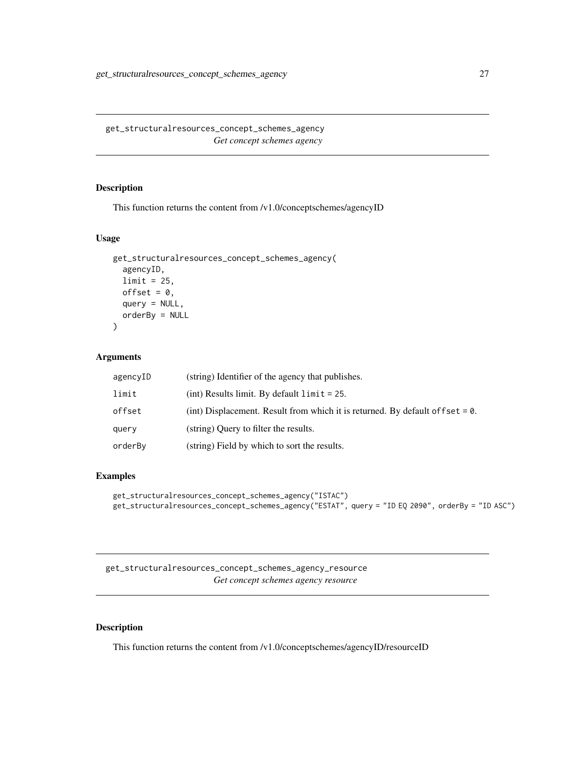<span id="page-26-0"></span>get\_structuralresources\_concept\_schemes\_agency *Get concept schemes agency*

# Description

This function returns the content from /v1.0/conceptschemes/agencyID

#### Usage

```
get_structuralresources_concept_schemes_agency(
  agencyID,
  limit = 25,offset = 0,
  query = NULL,
  orderBy = NULL
)
```
#### Arguments

| agencyID | (string) Identifier of the agency that publishes.                                |
|----------|----------------------------------------------------------------------------------|
| limit    | (int) Results limit. By default $\lim i = 25$ .                                  |
| offset   | (int) Displacement. Result from which it is returned. By default of fset $= 0$ . |
| query    | (string) Query to filter the results.                                            |
| orderBy  | (string) Field by which to sort the results.                                     |

#### Examples

```
get_structuralresources_concept_schemes_agency("ISTAC")
get_structuralresources_concept_schemes_agency("ESTAT", query = "ID EQ 2090", orderBy = "ID ASC")
```
get\_structuralresources\_concept\_schemes\_agency\_resource *Get concept schemes agency resource*

#### Description

This function returns the content from /v1.0/conceptschemes/agencyID/resourceID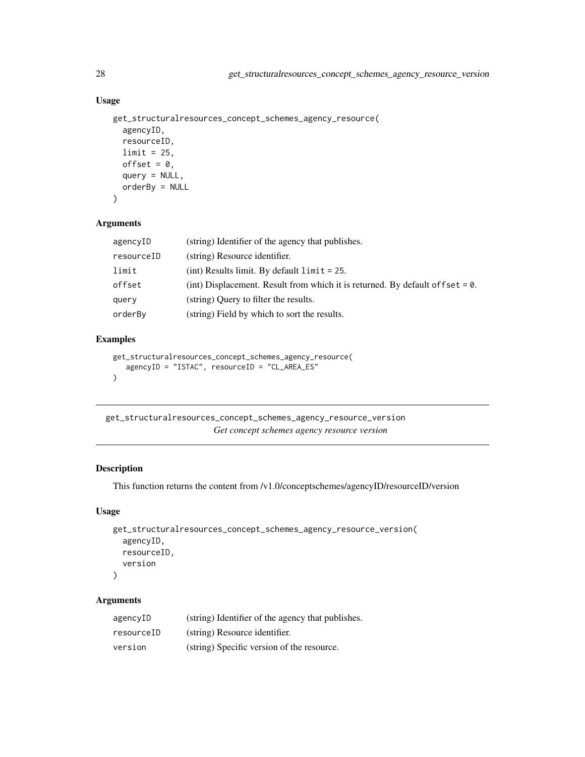# Usage

```
get_structuralresources_concept_schemes_agency_resource(
  agencyID,
  resourceID,
 limit = 25,
 offset = 0,
  query = NULL,
  orderBy = NULL
\lambda
```
# Arguments

| agencyID   | (string) Identifier of the agency that publishes.                                 |
|------------|-----------------------------------------------------------------------------------|
| resourceID | (string) Resource identifier.                                                     |
| limit      | $(int)$ Results limit. By default $limit = 25$ .                                  |
| offset     | (int) Displacement. Result from which it is returned. By default of f set $= 0$ . |
| query      | (string) Query to filter the results.                                             |
| orderBy    | (string) Field by which to sort the results.                                      |
|            |                                                                                   |

# Examples

```
get_structuralresources_concept_schemes_agency_resource(
   agencyID = "ISTAC", resourceID = "CL_AREA_ES"
\overline{)}
```
get\_structuralresources\_concept\_schemes\_agency\_resource\_version *Get concept schemes agency resource version*

# Description

This function returns the content from /v1.0/conceptschemes/agencyID/resourceID/version

#### Usage

```
get_structuralresources_concept_schemes_agency_resource_version(
  agencyID,
  resourceID,
  version
\lambda
```

| agencyID   | (string) Identifier of the agency that publishes. |
|------------|---------------------------------------------------|
| resourceID | (string) Resource identifier.                     |
| version    | (string) Specific version of the resource.        |

<span id="page-27-0"></span>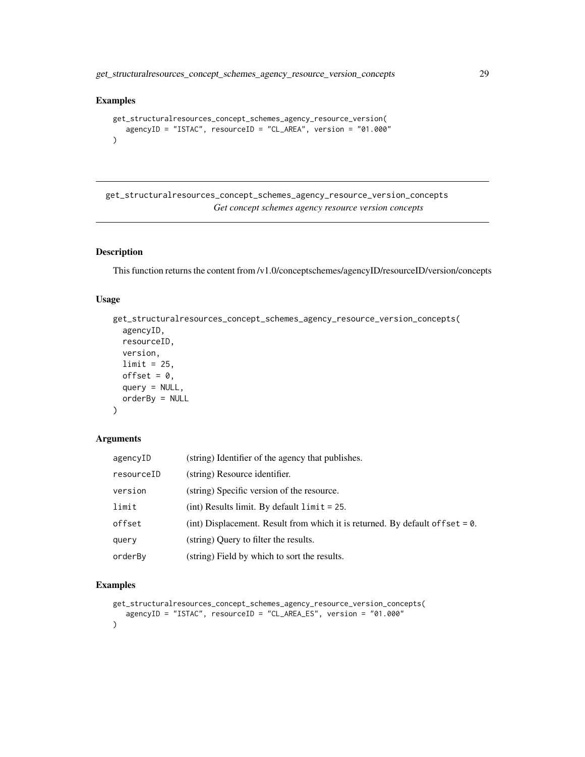<span id="page-28-0"></span>get\_structuralresources\_concept\_schemes\_agency\_resource\_version\_concepts 29

# Examples

```
get_structuralresources_concept_schemes_agency_resource_version(
  agencyID = "ISTAC", resourceID = "CL_AREA", version = "01.000"
)
```
get\_structuralresources\_concept\_schemes\_agency\_resource\_version\_concepts *Get concept schemes agency resource version concepts*

# Description

This function returns the content from /v1.0/conceptschemes/agencyID/resourceID/version/concepts

# Usage

```
get_structuralresources_concept_schemes_agency_resource_version_concepts(
  agencyID,
 resourceID,
 version,
 limit = 25,offset = 0,
 query = NULL,
 orderBy = NULL
)
```
#### Arguments

| agencyID   | (string) Identifier of the agency that publishes.                                 |
|------------|-----------------------------------------------------------------------------------|
| resourceID | (string) Resource identifier.                                                     |
| version    | (string) Specific version of the resource.                                        |
| limit      | $(int)$ Results limit. By default $limit = 25$ .                                  |
| offset     | (int) Displacement. Result from which it is returned. By default of f set $= 0$ . |
| query      | (string) Ouery to filter the results.                                             |
| orderBy    | (string) Field by which to sort the results.                                      |

```
get_structuralresources_concept_schemes_agency_resource_version_concepts(
   agencyID = "ISTAC", resourceID = "CL_AREA_ES", version = "01.000"
\mathcal{L}
```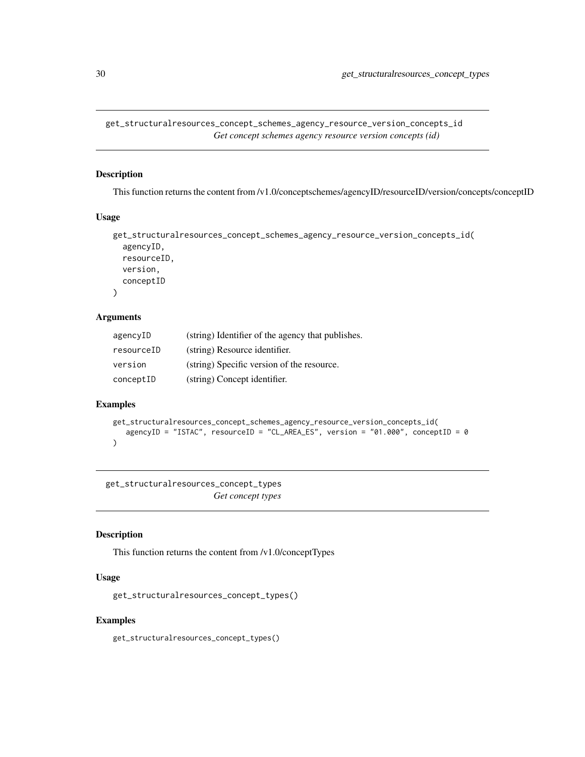<span id="page-29-0"></span>get\_structuralresources\_concept\_schemes\_agency\_resource\_version\_concepts\_id *Get concept schemes agency resource version concepts (id)*

# Description

This function returns the content from /v1.0/conceptschemes/agencyID/resourceID/version/concepts/conceptID

#### Usage

```
get_structuralresources_concept_schemes_agency_resource_version_concepts_id(
  agencyID,
  resourceID,
 version,
  conceptID
)
```
#### Arguments

| agencyID   | (string) Identifier of the agency that publishes. |
|------------|---------------------------------------------------|
| resourceID | (string) Resource identifier.                     |
| version    | (string) Specific version of the resource.        |
| conceptID  | (string) Concept identifier.                      |

# Examples

```
get_structuralresources_concept_schemes_agency_resource_version_concepts_id(
   agencyID = "ISTAC", resourceID = "CL_AREA_ES", version = "01.000", conceptID = 0
\mathcal{L}
```
get\_structuralresources\_concept\_types *Get concept types*

#### Description

This function returns the content from /v1.0/conceptTypes

#### Usage

```
get_structuralresources_concept_types()
```
#### Examples

get\_structuralresources\_concept\_types()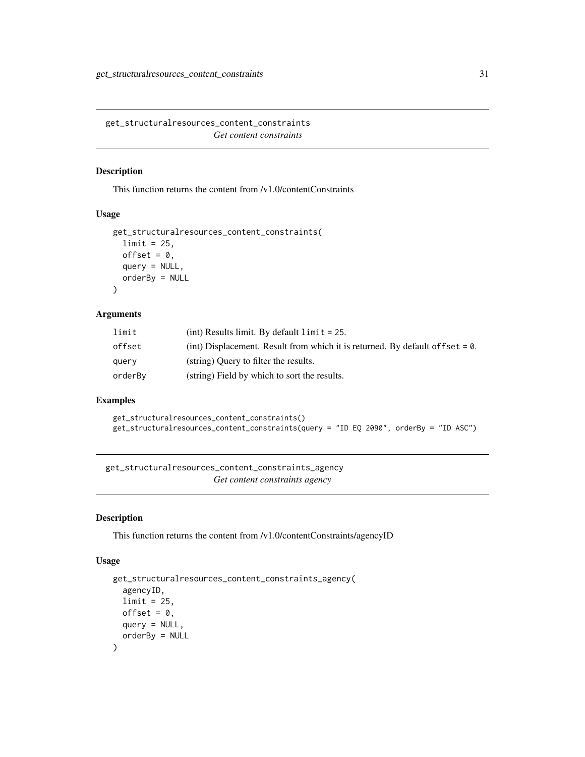<span id="page-30-0"></span>get\_structuralresources\_content\_constraints *Get content constraints*

# Description

This function returns the content from /v1.0/contentConstraints

#### Usage

```
get_structuralresources_content_constraints(
 limit = 25,offset = 0,
 query = NULL,
 orderBy = NULL
)
```
# Arguments

| limit   | (int) Results limit. By default $\lim i = 25$ .                                  |
|---------|----------------------------------------------------------------------------------|
| offset  | (int) Displacement. Result from which it is returned. By default of fset $= 0$ . |
| query   | (string) Ouery to filter the results.                                            |
| orderBy | (string) Field by which to sort the results.                                     |

# Examples

```
get_structuralresources_content_constraints()
get_structuralresources_content_constraints(query = "ID EQ 2090", orderBy = "ID ASC")
```
get\_structuralresources\_content\_constraints\_agency *Get content constraints agency*

#### Description

This function returns the content from /v1.0/contentConstraints/agencyID

#### Usage

```
get_structuralresources_content_constraints_agency(
  agencyID,
 limit = 25,offset = 0,
 query = NULL,
 orderBy = NULL
)
```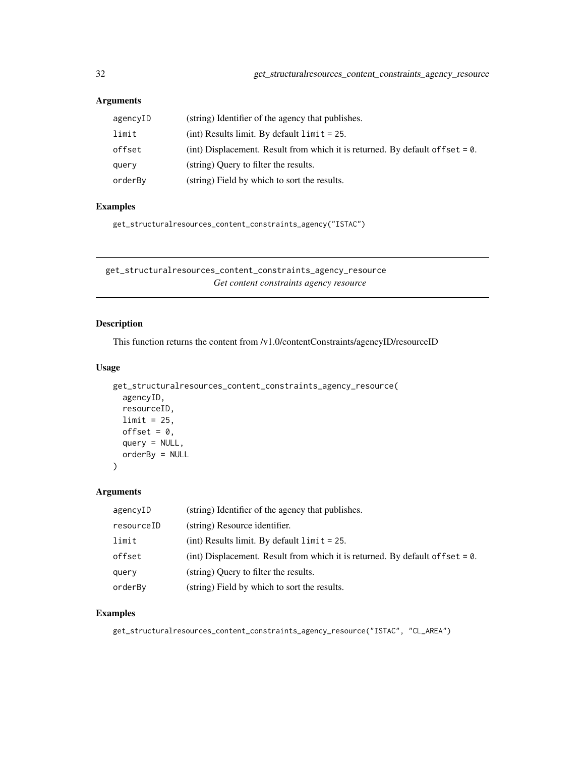# <span id="page-31-0"></span>Arguments

| agencyID | (string) Identifier of the agency that publishes.                                |
|----------|----------------------------------------------------------------------------------|
| limit    | $(int)$ Results limit. By default $limit = 25$ .                                 |
| offset   | (int) Displacement. Result from which it is returned. By default of fset $= 0$ . |
| query    | (string) Query to filter the results.                                            |
| orderBy  | (string) Field by which to sort the results.                                     |

#### Examples

get\_structuralresources\_content\_constraints\_agency("ISTAC")

get\_structuralresources\_content\_constraints\_agency\_resource *Get content constraints agency resource*

# Description

This function returns the content from /v1.0/contentConstraints/agencyID/resourceID

# Usage

```
get_structuralresources_content_constraints_agency_resource(
  agencyID,
 resourceID,
 limit = 25,
 offset = 0,
 query = NULL,
 orderBy = NULL
```
)

#### Arguments

| agencyID   | (string) Identifier of the agency that publishes.                                |
|------------|----------------------------------------------------------------------------------|
| resourceID | (string) Resource identifier.                                                    |
| limit      | (int) Results limit. By default $\lim_{t \to \infty} t = 25$ .                   |
| offset     | (int) Displacement. Result from which it is returned. By default of $f$ set = 0. |
| query      | (string) Query to filter the results.                                            |
| orderBy    | (string) Field by which to sort the results.                                     |

#### Examples

get\_structuralresources\_content\_constraints\_agency\_resource("ISTAC", "CL\_AREA")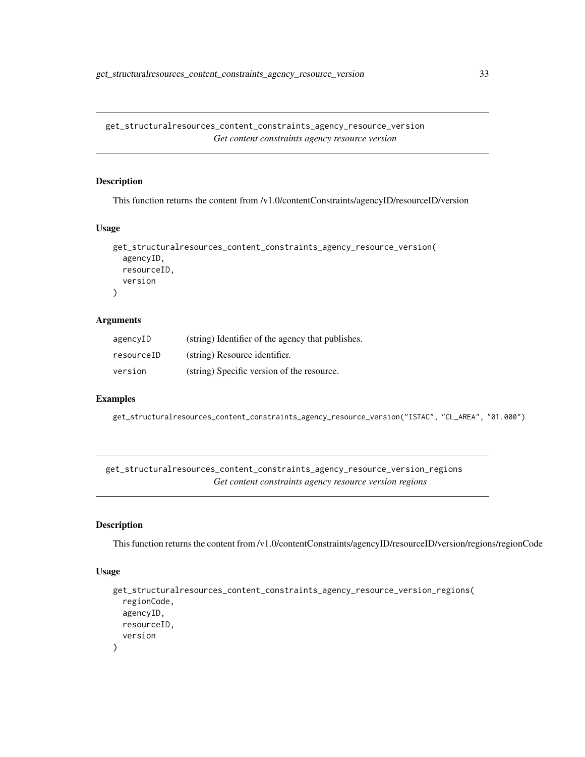<span id="page-32-0"></span>get\_structuralresources\_content\_constraints\_agency\_resource\_version *Get content constraints agency resource version*

#### Description

This function returns the content from /v1.0/contentConstraints/agencyID/resourceID/version

#### Usage

```
get_structuralresources_content_constraints_agency_resource_version(
  agencyID,
  resourceID,
  version
)
```
# Arguments

| agencyID   | (string) Identifier of the agency that publishes. |
|------------|---------------------------------------------------|
| resourceID | (string) Resource identifier.                     |
| version    | (string) Specific version of the resource.        |

# Examples

get\_structuralresources\_content\_constraints\_agency\_resource\_version("ISTAC", "CL\_AREA", "01.000")

get\_structuralresources\_content\_constraints\_agency\_resource\_version\_regions *Get content constraints agency resource version regions*

# Description

This function returns the content from /v1.0/contentConstraints/agencyID/resourceID/version/regions/regionCode

#### Usage

```
get_structuralresources_content_constraints_agency_resource_version_regions(
  regionCode,
 agencyID,
 resourceID,
  version
)
```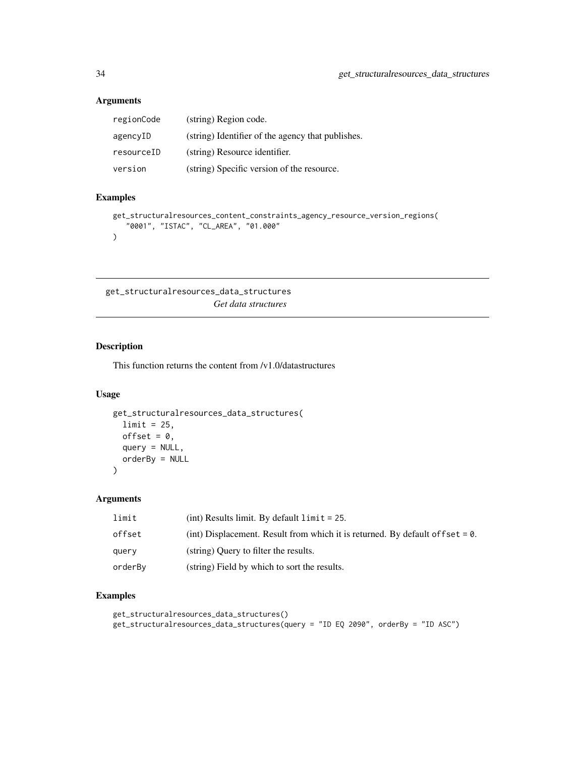# <span id="page-33-0"></span>Arguments

| regionCode | (string) Region code.                             |
|------------|---------------------------------------------------|
| agencyID   | (string) Identifier of the agency that publishes. |
| resourceID | (string) Resource identifier.                     |
| version    | (string) Specific version of the resource.        |

# Examples

```
get_structuralresources_content_constraints_agency_resource_version_regions(
   "0001", "ISTAC", "CL_AREA", "01.000"
\overline{\phantom{a}}
```
get\_structuralresources\_data\_structures *Get data structures*

# Description

This function returns the content from /v1.0/datastructures

#### Usage

```
get_structuralresources_data_structures(
 limit = 25,
 offset = 0,
 query = NULL,
 orderBy = NULL
)
```
# Arguments

| limit   | $(int)$ Results limit. By default $limit = 25$ .                                 |
|---------|----------------------------------------------------------------------------------|
| offset  | (int) Displacement. Result from which it is returned. By default of fset $= 0$ . |
| query   | (string) Ouery to filter the results.                                            |
| orderBy | (string) Field by which to sort the results.                                     |

```
get_structuralresources_data_structures()
get_structuralresources_data_structures(query = "ID EQ 2090", orderBy = "ID ASC")
```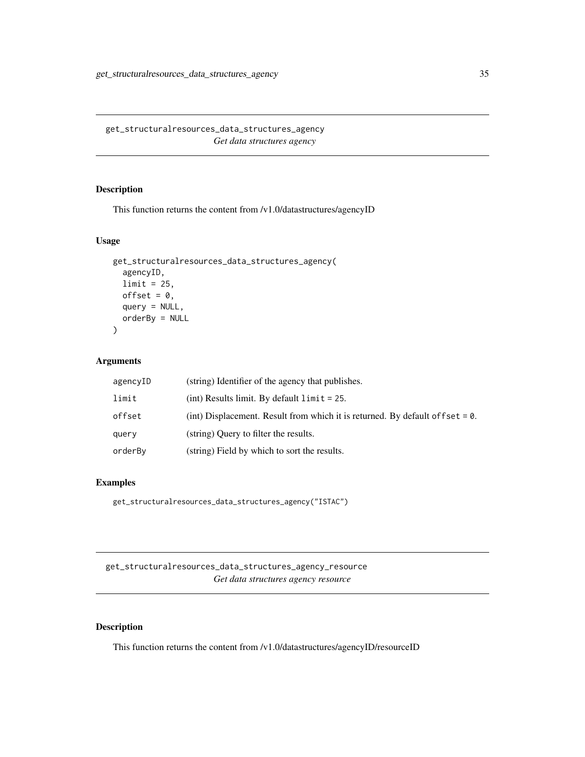<span id="page-34-0"></span>get\_structuralresources\_data\_structures\_agency *Get data structures agency*

# Description

This function returns the content from /v1.0/datastructures/agencyID

# Usage

```
get_structuralresources_data_structures_agency(
  agencyID,
  limit = 25,
 offset = 0,
 query = NULL,
 orderBy = NULL
)
```
#### Arguments

| agencyID | (string) Identifier of the agency that publishes.                                |
|----------|----------------------------------------------------------------------------------|
| limit    | (int) Results limit. By default $\lim_{t \to \infty} t = 25$ .                   |
| offset   | (int) Displacement. Result from which it is returned. By default of $f$ set = 0. |
| query    | (string) Query to filter the results.                                            |
| orderBy  | (string) Field by which to sort the results.                                     |

#### Examples

get\_structuralresources\_data\_structures\_agency("ISTAC")

get\_structuralresources\_data\_structures\_agency\_resource *Get data structures agency resource*

# Description

This function returns the content from /v1.0/datastructures/agencyID/resourceID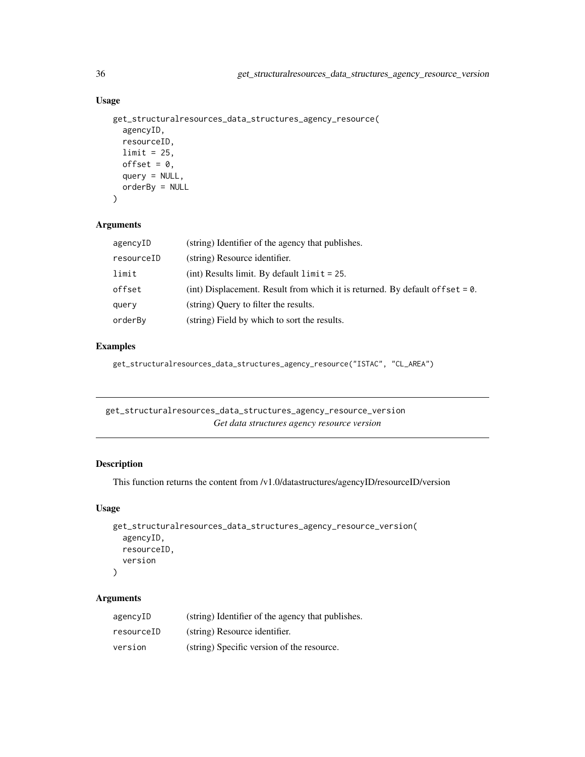# Usage

```
get_structuralresources_data_structures_agency_resource(
  agencyID,
  resourceID,
 limit = 25,
 offset = 0,
 query = NULL,
 orderBy = NULL
)
```
#### Arguments

| agencyID   | (string) Identifier of the agency that publishes.                                |
|------------|----------------------------------------------------------------------------------|
| resourceID | (string) Resource identifier.                                                    |
| limit      | $(int)$ Results limit. By default $limit = 25$ .                                 |
| offset     | (int) Displacement. Result from which it is returned. By default of $f$ set = 0. |
| query      | (string) Query to filter the results.                                            |
| orderBy    | (string) Field by which to sort the results.                                     |

# Examples

get\_structuralresources\_data\_structures\_agency\_resource("ISTAC", "CL\_AREA")

get\_structuralresources\_data\_structures\_agency\_resource\_version *Get data structures agency resource version*

# Description

This function returns the content from /v1.0/datastructures/agencyID/resourceID/version

#### Usage

```
get_structuralresources_data_structures_agency_resource_version(
  agencyID,
 resourceID,
  version
)
```

| agencyID   | (string) Identifier of the agency that publishes. |
|------------|---------------------------------------------------|
| resourceID | (string) Resource identifier.                     |
| version    | (string) Specific version of the resource.        |

<span id="page-35-0"></span>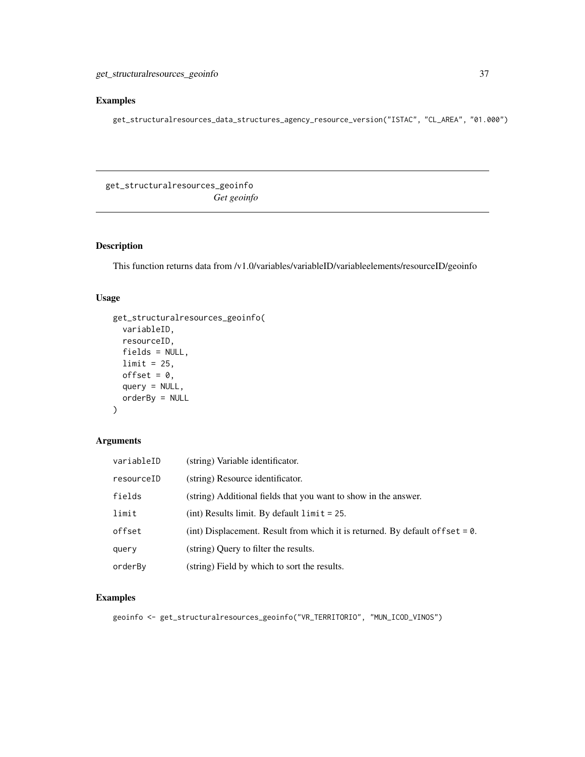# <span id="page-36-0"></span>Examples

get\_structuralresources\_data\_structures\_agency\_resource\_version("ISTAC", "CL\_AREA", "01.000")

get\_structuralresources\_geoinfo *Get geoinfo*

# Description

This function returns data from /v1.0/variables/variableID/variableelements/resourceID/geoinfo

#### Usage

```
get_structuralresources_geoinfo(
 variableID,
 resourceID,
 fields = NULL,
 limit = 25,offset = 0,
 query = NULL,
 orderBy = NULL
\mathcal{E}
```
# Arguments

| variableID | (string) Variable identificator.                                                 |
|------------|----------------------------------------------------------------------------------|
| resourceID | (string) Resource identificator.                                                 |
| fields     | (string) Additional fields that you want to show in the answer.                  |
| limit      | $(int)$ Results limit. By default $limit = 25$ .                                 |
| offset     | (int) Displacement. Result from which it is returned. By default of $f$ set = 0. |
| querv      | (string) Query to filter the results.                                            |
| orderBv    | (string) Field by which to sort the results.                                     |

#### Examples

geoinfo <- get\_structuralresources\_geoinfo("VR\_TERRITORIO", "MUN\_ICOD\_VINOS")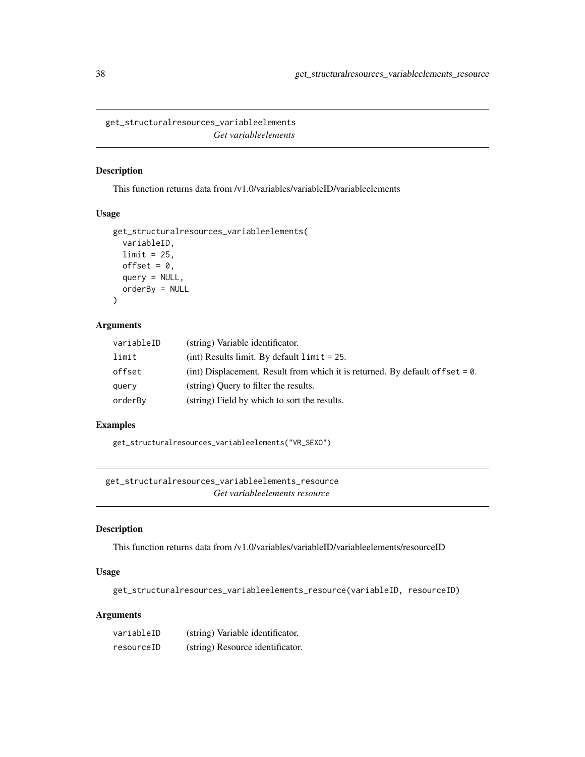<span id="page-37-0"></span>get\_structuralresources\_variableelements *Get variableelements*

#### Description

This function returns data from /v1.0/variables/variableID/variableelements

#### Usage

```
get_structuralresources_variableelements(
  variableID,
  limit = 25,
 offset = 0,
  query = NULL,
  orderBy = NULL
)
```
# Arguments

| variableID | (string) Variable identificator.                                                 |
|------------|----------------------------------------------------------------------------------|
| limit      | $(int)$ Results limit. By default $limit = 25$ .                                 |
| offset     | (int) Displacement. Result from which it is returned. By default of fset $= 0$ . |
| query      | (string) Ouery to filter the results.                                            |
| orderBy    | (string) Field by which to sort the results.                                     |

# Examples

get\_structuralresources\_variableelements("VR\_SEXO")

get\_structuralresources\_variableelements\_resource *Get variableelements resource*

# Description

This function returns data from /v1.0/variables/variableID/variableelements/resourceID

# Usage

get\_structuralresources\_variableelements\_resource(variableID, resourceID)

| variableID | (string) Variable identificator. |
|------------|----------------------------------|
| resourceID | (string) Resource identificator. |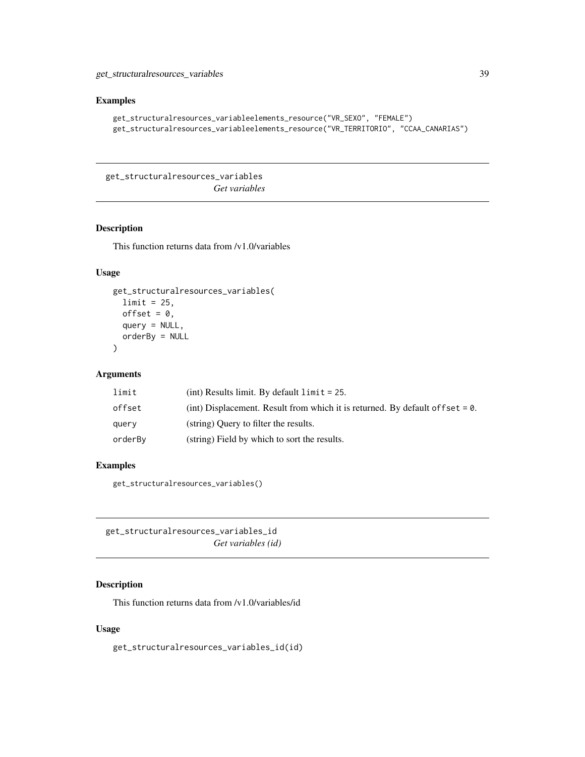#### <span id="page-38-0"></span>Examples

```
get_structuralresources_variableelements_resource("VR_SEXO", "FEMALE")
get_structuralresources_variableelements_resource("VR_TERRITORIO", "CCAA_CANARIAS")
```
get\_structuralresources\_variables *Get variables*

#### Description

This function returns data from /v1.0/variables

# Usage

```
get_structuralresources_variables(
  limit = 25,
 offset = 0,
  query = NULL,
 orderBy = NULL
)
```
#### Arguments

| limit   | (int) Results limit. By default $\lim_{x \to 0} t = 25$ .                         |
|---------|-----------------------------------------------------------------------------------|
| offset  | (int) Displacement. Result from which it is returned. By default of f set $= 0$ . |
| query   | (string) Ouery to filter the results.                                             |
| orderBv | (string) Field by which to sort the results.                                      |

#### Examples

get\_structuralresources\_variables()

get\_structuralresources\_variables\_id *Get variables (id)*

# Description

This function returns data from /v1.0/variables/id

#### Usage

get\_structuralresources\_variables\_id(id)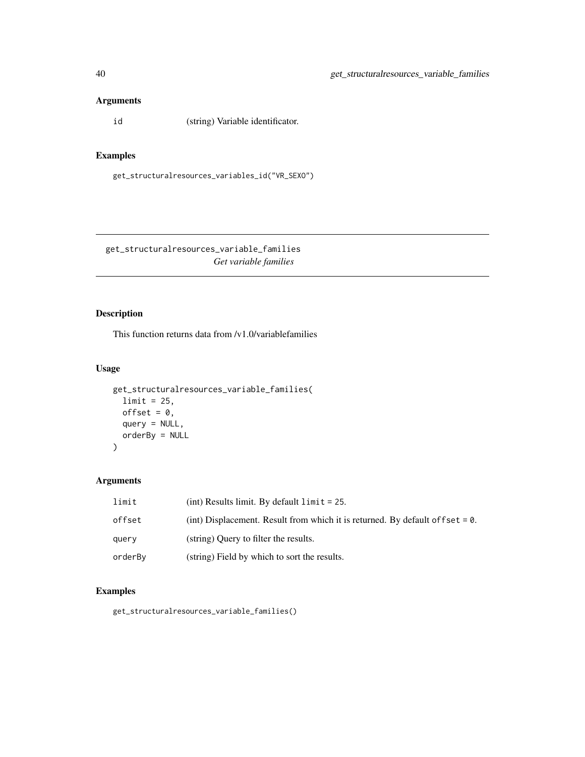# <span id="page-39-0"></span>Arguments

id (string) Variable identificator.

# Examples

get\_structuralresources\_variables\_id("VR\_SEXO")

get\_structuralresources\_variable\_families *Get variable families*

# Description

This function returns data from /v1.0/variablefamilies

# Usage

```
get_structuralresources_variable_families(
 limit = 25,offset = 0,
 query = NULL,orderBy = NULL
\mathcal{L}
```
# Arguments

| limit   | $(int)$ Results limit. By default $limit = 25$ .                                  |
|---------|-----------------------------------------------------------------------------------|
| offset  | (int) Displacement. Result from which it is returned. By default of f set $= 0$ . |
| query   | (string) Query to filter the results.                                             |
| orderBy | (string) Field by which to sort the results.                                      |

# Examples

get\_structuralresources\_variable\_families()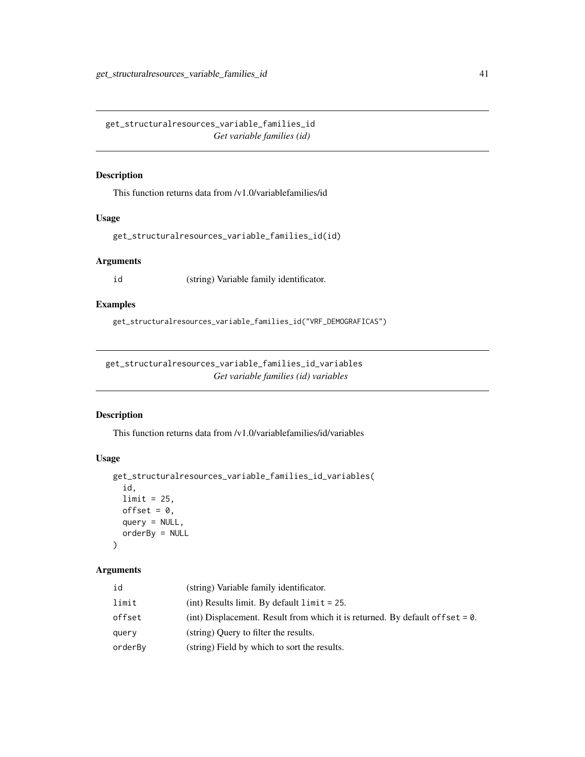<span id="page-40-0"></span>get\_structuralresources\_variable\_families\_id *Get variable families (id)*

#### Description

This function returns data from /v1.0/variablefamilies/id

# Usage

get\_structuralresources\_variable\_families\_id(id)

#### Arguments

id (string) Variable family identificator.

# Examples

get\_structuralresources\_variable\_families\_id("VRF\_DEMOGRAFICAS")

get\_structuralresources\_variable\_families\_id\_variables *Get variable families (id) variables*

#### Description

This function returns data from /v1.0/variablefamilies/id/variables

#### Usage

```
get_structuralresources_variable_families_id_variables(
  id,
 limit = 25,offset = 0,
 query = NULL,
 orderBy = NULL
)
```

| id      | (string) Variable family identificator.                                           |
|---------|-----------------------------------------------------------------------------------|
| limit   | $(int)$ Results limit. By default $limit = 25$ .                                  |
| offset  | (int) Displacement. Result from which it is returned. By default of f set $= 0$ . |
| query   | (string) Query to filter the results.                                             |
| orderBv | (string) Field by which to sort the results.                                      |
|         |                                                                                   |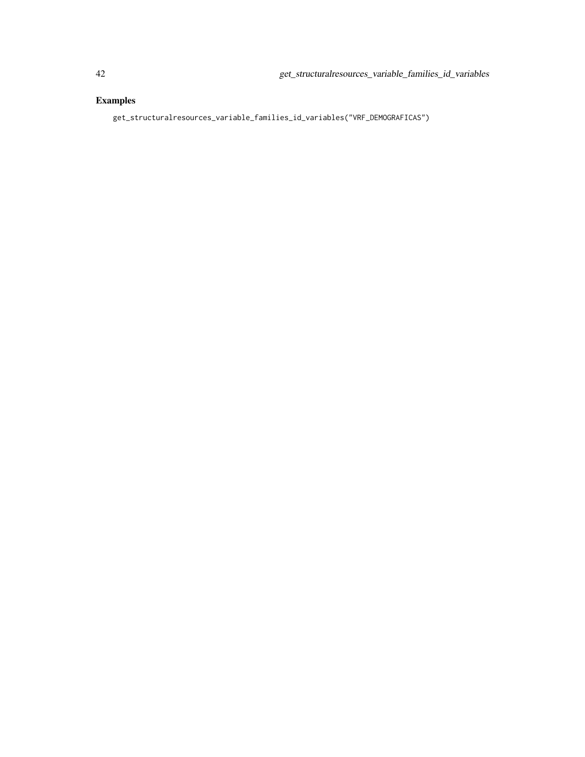# Examples

get\_structuralresources\_variable\_families\_id\_variables("VRF\_DEMOGRAFICAS")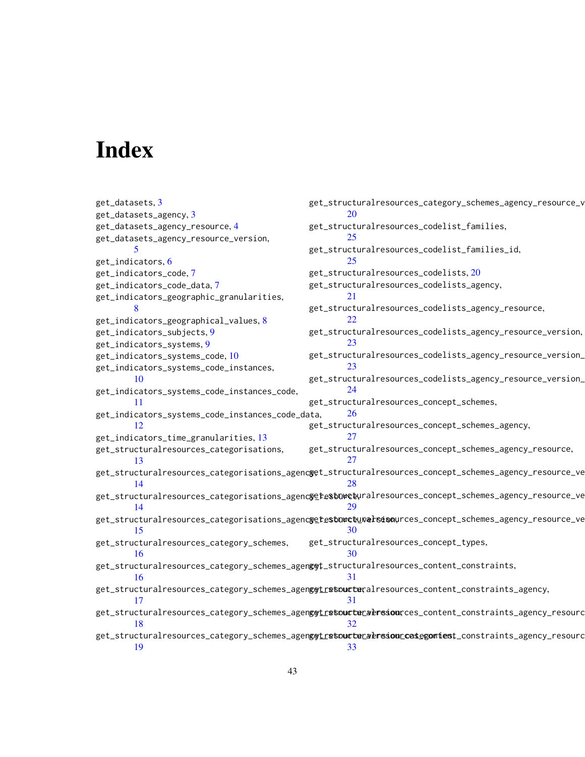# <span id="page-42-0"></span>Index

get\_datasets, [3](#page-2-0) get\_datasets\_agency, [3](#page-2-0) get\_datasets\_agency\_resource, [4](#page-3-0) get\_datasets\_agency\_resource\_version, [5](#page-4-0) get\_indicators, [6](#page-5-0) get\_indicators\_code, [7](#page-6-0) get\_indicators\_code\_data, [7](#page-6-0) get\_indicators\_geographic\_granularities, [8](#page-7-0) get\_indicators\_geographical\_values, [8](#page-7-0) get\_indicators\_subjects, [9](#page-8-0) get\_indicators\_systems, [9](#page-8-0) get\_indicators\_systems\_code, [10](#page-9-0) get\_indicators\_systems\_code\_instances, [10](#page-9-0) get\_indicators\_systems\_code\_instances\_code, [11](#page-10-0) get\_indicators\_systems\_code\_instances\_code\_data, [12](#page-11-0) get\_indicators\_time\_granularities, [13](#page-12-0) get\_structuralresources\_categorisations, [13](#page-12-0) get\_structuralresources\_categorisations\_agenc**y**et\_structuralresources\_concept\_schemes\_agency\_resource\_ve [14](#page-13-0) get\_structuralresources\_categorisations\_agenc**yetestowce**yralresources\_concept\_schemes\_agency\_resource\_ve [14](#page-13-0) get\_structuralresources\_categorisations\_agenc**yetestowctuvelsiso**wrces\_concept\_schemes\_agency\_resource\_ve [15](#page-14-0) get\_structuralresources\_category\_schemes, [16](#page-15-0) get\_structuralresources\_category\_schemes\_agenggt\_structuralresources\_content\_constraints, [16](#page-15-0) get\_structuralresources\_category\_schemes\_agen**g<del>g</del>tr<del>s</del>toucter**alresources\_content\_constraints\_agency, [17](#page-16-0) get\_structuralresources\_category\_schemes\_agen**ggt\_retoucter\_versiou**rces\_content\_constraints\_agency\_resourc [18](#page-17-0) get\_structuralresources\_category\_schemes\_agen**ggt\_retoucter&resion\_cestegomiest**\_constraints\_agency\_resourc [19](#page-18-0) get\_structuralresources\_category\_schemes\_agency\_resource\_v [20](#page-19-0) get\_structuralresources\_codelist\_families, [25](#page-24-0) get\_structuralresources\_codelist\_families\_id,  $25$ get\_structuralresources\_codelists, [20](#page-19-0) get\_structuralresources\_codelists\_agency, [21](#page-20-0) get\_structuralresources\_codelists\_agency\_resource, [22](#page-21-0) get\_structuralresources\_codelists\_agency\_resource\_version, [23](#page-22-0) get\_structuralresources\_codelists\_agency\_resource\_version\_codes, [23](#page-22-0) get\_structuralresources\_codelists\_agency\_resource\_version\_ [24](#page-23-0) get\_structuralresources\_concept\_schemes, [26](#page-25-0) get\_structuralresources\_concept\_schemes\_agency, [27](#page-26-0) get\_structuralresources\_concept\_schemes\_agency\_resource, [27](#page-26-0) [28](#page-27-0) [29](#page-28-0) [30](#page-29-0) get\_structuralresources\_concept\_types, [30](#page-29-0) [31](#page-30-0) [31](#page-30-0) [32](#page-31-0) [33](#page-32-0)